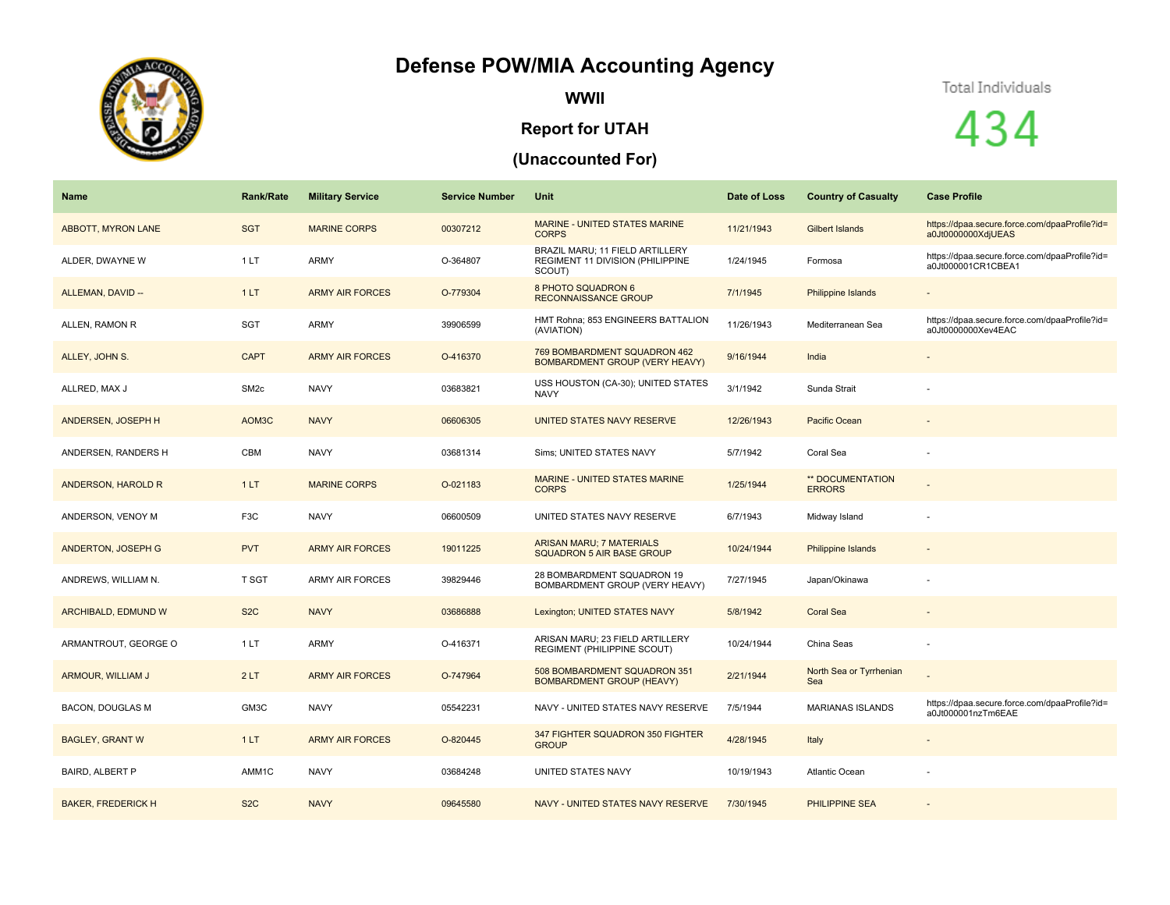## **Defense POW/MIA Accounting Agency**



**WWII**

## **Report for UTAH**

## **(Unaccounted For)**



434

| Name                      | <b>Rank/Rate</b> | <b>Military Service</b> | <b>Service Number</b> | Unit                                                                                  | Date of Loss | <b>Country of Casualty</b>        | <b>Case Profile</b>                                                 |
|---------------------------|------------------|-------------------------|-----------------------|---------------------------------------------------------------------------------------|--------------|-----------------------------------|---------------------------------------------------------------------|
| <b>ABBOTT, MYRON LANE</b> | <b>SGT</b>       | <b>MARINE CORPS</b>     | 00307212              | <b>MARINE - UNITED STATES MARINE</b><br><b>CORPS</b>                                  | 11/21/1943   | Gilbert Islands                   | https://dpaa.secure.force.com/dpaaProfile?id=<br>a0Jt0000000XdjUEAS |
| ALDER, DWAYNE W           | 1LT              | <b>ARMY</b>             | O-364807              | BRAZIL MARU; 11 FIELD ARTILLERY<br><b>REGIMENT 11 DIVISION (PHILIPPINE)</b><br>SCOUT) | 1/24/1945    | Formosa                           | https://dpaa.secure.force.com/dpaaProfile?id=<br>a0Jt000001CR1CBEA1 |
| ALLEMAN, DAVID --         | 1LT              | <b>ARMY AIR FORCES</b>  | O-779304              | 8 PHOTO SQUADRON 6<br><b>RECONNAISSANCE GROUP</b>                                     | 7/1/1945     | Philippine Islands                |                                                                     |
| ALLEN, RAMON R            | <b>SGT</b>       | <b>ARMY</b>             | 39906599              | HMT Rohna; 853 ENGINEERS BATTALION<br>(AVIATION)                                      | 11/26/1943   | Mediterranean Sea                 | https://dpaa.secure.force.com/dpaaProfile?id=<br>a0Jt0000000Xev4EAC |
| ALLEY, JOHN S.            | <b>CAPT</b>      | <b>ARMY AIR FORCES</b>  | O-416370              | 769 BOMBARDMENT SQUADRON 462<br><b>BOMBARDMENT GROUP (VERY HEAVY)</b>                 | 9/16/1944    | India                             |                                                                     |
| ALLRED, MAX J             | SM <sub>2c</sub> | <b>NAVY</b>             | 03683821              | USS HOUSTON (CA-30); UNITED STATES<br><b>NAVY</b>                                     | 3/1/1942     | Sunda Strait                      |                                                                     |
| ANDERSEN, JOSEPH H        | AOM3C            | <b>NAVY</b>             | 06606305              | <b>UNITED STATES NAVY RESERVE</b>                                                     | 12/26/1943   | Pacific Ocean                     | $\sim$                                                              |
| ANDERSEN, RANDERS H       | CBM              | <b>NAVY</b>             | 03681314              | Sims; UNITED STATES NAVY                                                              | 5/7/1942     | Coral Sea                         |                                                                     |
| ANDERSON, HAROLD R        | 1LT              | <b>MARINE CORPS</b>     | O-021183              | <b>MARINE - UNITED STATES MARINE</b><br><b>CORPS</b>                                  | 1/25/1944    | ** DOCUMENTATION<br><b>ERRORS</b> |                                                                     |
| ANDERSON, VENOY M         | F <sub>3</sub> C | <b>NAVY</b>             | 06600509              | UNITED STATES NAVY RESERVE                                                            | 6/7/1943     | Midway Island                     |                                                                     |
| ANDERTON, JOSEPH G        | <b>PVT</b>       | <b>ARMY AIR FORCES</b>  | 19011225              | <b>ARISAN MARU; 7 MATERIALS</b><br>SQUADRON 5 AIR BASE GROUP                          | 10/24/1944   | Philippine Islands                |                                                                     |
| ANDREWS, WILLIAM N.       | T SGT            | <b>ARMY AIR FORCES</b>  | 39829446              | 28 BOMBARDMENT SQUADRON 19<br>BOMBARDMENT GROUP (VERY HEAVY)                          | 7/27/1945    | Japan/Okinawa                     |                                                                     |
| ARCHIBALD, EDMUND W       | S <sub>2</sub> C | <b>NAVY</b>             | 03686888              | Lexington; UNITED STATES NAVY                                                         | 5/8/1942     | <b>Coral Sea</b>                  |                                                                     |
| ARMANTROUT, GEORGE O      | 1LT              | <b>ARMY</b>             | O-416371              | ARISAN MARU; 23 FIELD ARTILLERY<br>REGIMENT (PHILIPPINE SCOUT)                        | 10/24/1944   | China Seas                        |                                                                     |
| ARMOUR, WILLIAM J         | 2LT              | <b>ARMY AIR FORCES</b>  | O-747964              | 508 BOMBARDMENT SQUADRON 351<br><b>BOMBARDMENT GROUP (HEAVY)</b>                      | 2/21/1944    | North Sea or Tyrrhenian<br>Sea    |                                                                     |
| <b>BACON, DOUGLAS M</b>   | GM3C             | <b>NAVY</b>             | 05542231              | NAVY - UNITED STATES NAVY RESERVE                                                     | 7/5/1944     | <b>MARIANAS ISLANDS</b>           | https://dpaa.secure.force.com/dpaaProfile?id=<br>a0Jt000001nzTm6EAE |
| <b>BAGLEY, GRANT W</b>    | 1LT              | <b>ARMY AIR FORCES</b>  | O-820445              | 347 FIGHTER SQUADRON 350 FIGHTER<br><b>GROUP</b>                                      | 4/28/1945    | Italy                             |                                                                     |
| <b>BAIRD, ALBERT P</b>    | AMM1C            | <b>NAVY</b>             | 03684248              | UNITED STATES NAVY                                                                    | 10/19/1943   | Atlantic Ocean                    |                                                                     |
| <b>BAKER, FREDERICK H</b> | S <sub>2</sub> C | <b>NAVY</b>             | 09645580              | NAVY - UNITED STATES NAVY RESERVE                                                     | 7/30/1945    | <b>PHILIPPINE SEA</b>             |                                                                     |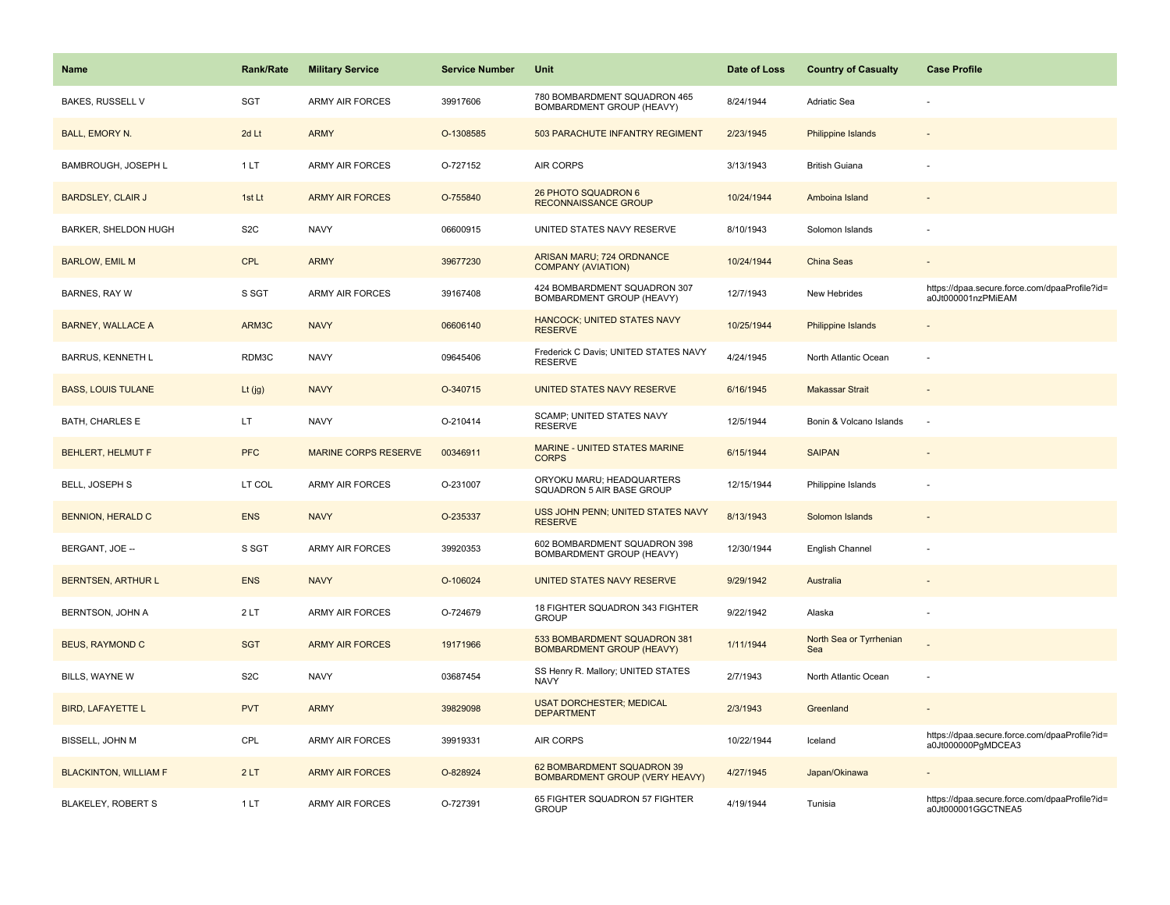| Name                         | <b>Rank/Rate</b> | <b>Military Service</b>     | <b>Service Number</b> | Unit                                                                | Date of Loss | <b>Country of Casualty</b>     | <b>Case Profile</b>                                                 |
|------------------------------|------------------|-----------------------------|-----------------------|---------------------------------------------------------------------|--------------|--------------------------------|---------------------------------------------------------------------|
| <b>BAKES, RUSSELL V</b>      | SGT              | <b>ARMY AIR FORCES</b>      | 39917606              | 780 BOMBARDMENT SQUADRON 465<br>BOMBARDMENT GROUP (HEAVY)           | 8/24/1944    | <b>Adriatic Sea</b>            |                                                                     |
| <b>BALL, EMORY N.</b>        | 2d Lt            | <b>ARMY</b>                 | O-1308585             | 503 PARACHUTE INFANTRY REGIMENT                                     | 2/23/1945    | Philippine Islands             |                                                                     |
| BAMBROUGH, JOSEPH L          | 1LT              | <b>ARMY AIR FORCES</b>      | O-727152              | AIR CORPS                                                           | 3/13/1943    | <b>British Guiana</b>          |                                                                     |
| <b>BARDSLEY, CLAIR J</b>     | 1st Lt           | <b>ARMY AIR FORCES</b>      | O-755840              | 26 PHOTO SQUADRON 6<br><b>RECONNAISSANCE GROUP</b>                  | 10/24/1944   | Amboina Island                 |                                                                     |
| BARKER, SHELDON HUGH         | S <sub>2</sub> C | <b>NAVY</b>                 | 06600915              | UNITED STATES NAVY RESERVE                                          | 8/10/1943    | Solomon Islands                |                                                                     |
| <b>BARLOW, EMIL M</b>        | <b>CPL</b>       | <b>ARMY</b>                 | 39677230              | ARISAN MARU; 724 ORDNANCE<br><b>COMPANY (AVIATION)</b>              | 10/24/1944   | China Seas                     |                                                                     |
| <b>BARNES, RAY W</b>         | S SGT            | <b>ARMY AIR FORCES</b>      | 39167408              | 424 BOMBARDMENT SQUADRON 307<br>BOMBARDMENT GROUP (HEAVY)           | 12/7/1943    | New Hebrides                   | https://dpaa.secure.force.com/dpaaProfile?id=<br>a0Jt000001nzPMiEAM |
| <b>BARNEY, WALLACE A</b>     | ARM3C            | <b>NAVY</b>                 | 06606140              | HANCOCK; UNITED STATES NAVY<br><b>RESERVE</b>                       | 10/25/1944   | Philippine Islands             |                                                                     |
| <b>BARRUS, KENNETH L</b>     | RDM3C            | <b>NAVY</b>                 | 09645406              | Frederick C Davis; UNITED STATES NAVY<br><b>RESERVE</b>             | 4/24/1945    | North Atlantic Ocean           |                                                                     |
| <b>BASS, LOUIS TULANE</b>    | Lt $(jg)$        | <b>NAVY</b>                 | O-340715              | UNITED STATES NAVY RESERVE                                          | 6/16/1945    | <b>Makassar Strait</b>         |                                                                     |
| <b>BATH, CHARLES E</b>       | LT.              | <b>NAVY</b>                 | O-210414              | SCAMP; UNITED STATES NAVY<br><b>RESERVE</b>                         | 12/5/1944    | Bonin & Volcano Islands        |                                                                     |
| <b>BEHLERT, HELMUT F</b>     | <b>PFC</b>       | <b>MARINE CORPS RESERVE</b> | 00346911              | MARINE - UNITED STATES MARINE<br><b>CORPS</b>                       | 6/15/1944    | <b>SAIPAN</b>                  |                                                                     |
| BELL, JOSEPH S               | LT COL           | <b>ARMY AIR FORCES</b>      | O-231007              | ORYOKU MARU; HEADQUARTERS<br>SQUADRON 5 AIR BASE GROUP              | 12/15/1944   | Philippine Islands             |                                                                     |
| <b>BENNION, HERALD C</b>     | <b>ENS</b>       | <b>NAVY</b>                 | O-235337              | USS JOHN PENN; UNITED STATES NAVY<br><b>RESERVE</b>                 | 8/13/1943    | Solomon Islands                |                                                                     |
| BERGANT, JOE --              | S SGT            | <b>ARMY AIR FORCES</b>      | 39920353              | 602 BOMBARDMENT SQUADRON 398<br>BOMBARDMENT GROUP (HEAVY)           | 12/30/1944   | English Channel                |                                                                     |
| <b>BERNTSEN, ARTHUR L</b>    | <b>ENS</b>       | <b>NAVY</b>                 | O-106024              | UNITED STATES NAVY RESERVE                                          | 9/29/1942    | Australia                      |                                                                     |
| BERNTSON, JOHN A             | 2LT              | <b>ARMY AIR FORCES</b>      | O-724679              | 18 FIGHTER SQUADRON 343 FIGHTER<br><b>GROUP</b>                     | 9/22/1942    | Alaska                         |                                                                     |
| <b>BEUS, RAYMOND C</b>       | <b>SGT</b>       | <b>ARMY AIR FORCES</b>      | 19171966              | 533 BOMBARDMENT SQUADRON 381<br><b>BOMBARDMENT GROUP (HEAVY)</b>    | 1/11/1944    | North Sea or Tyrrhenian<br>Sea |                                                                     |
| BILLS, WAYNE W               | S <sub>2</sub> C | <b>NAVY</b>                 | 03687454              | SS Henry R. Mallory; UNITED STATES<br><b>NAVY</b>                   | 2/7/1943     | North Atlantic Ocean           |                                                                     |
| <b>BIRD, LAFAYETTE L</b>     | <b>PVT</b>       | <b>ARMY</b>                 | 39829098              | <b>USAT DORCHESTER; MEDICAL</b><br><b>DEPARTMENT</b>                | 2/3/1943     | Greenland                      |                                                                     |
| BISSELL, JOHN M              | CPL              | <b>ARMY AIR FORCES</b>      | 39919331              | AIR CORPS                                                           | 10/22/1944   | Iceland                        | https://dpaa.secure.force.com/dpaaProfile?id=<br>a0Jt000000PgMDCEA3 |
| <b>BLACKINTON, WILLIAM F</b> | 2LT              | <b>ARMY AIR FORCES</b>      | O-828924              | 62 BOMBARDMENT SQUADRON 39<br><b>BOMBARDMENT GROUP (VERY HEAVY)</b> | 4/27/1945    | Japan/Okinawa                  |                                                                     |
| <b>BLAKELEY, ROBERT S</b>    | 1LT              | <b>ARMY AIR FORCES</b>      | O-727391              | 65 FIGHTER SQUADRON 57 FIGHTER<br><b>GROUP</b>                      | 4/19/1944    | Tunisia                        | https://dpaa.secure.force.com/dpaaProfile?id=<br>a0Jt000001GGCTNEA5 |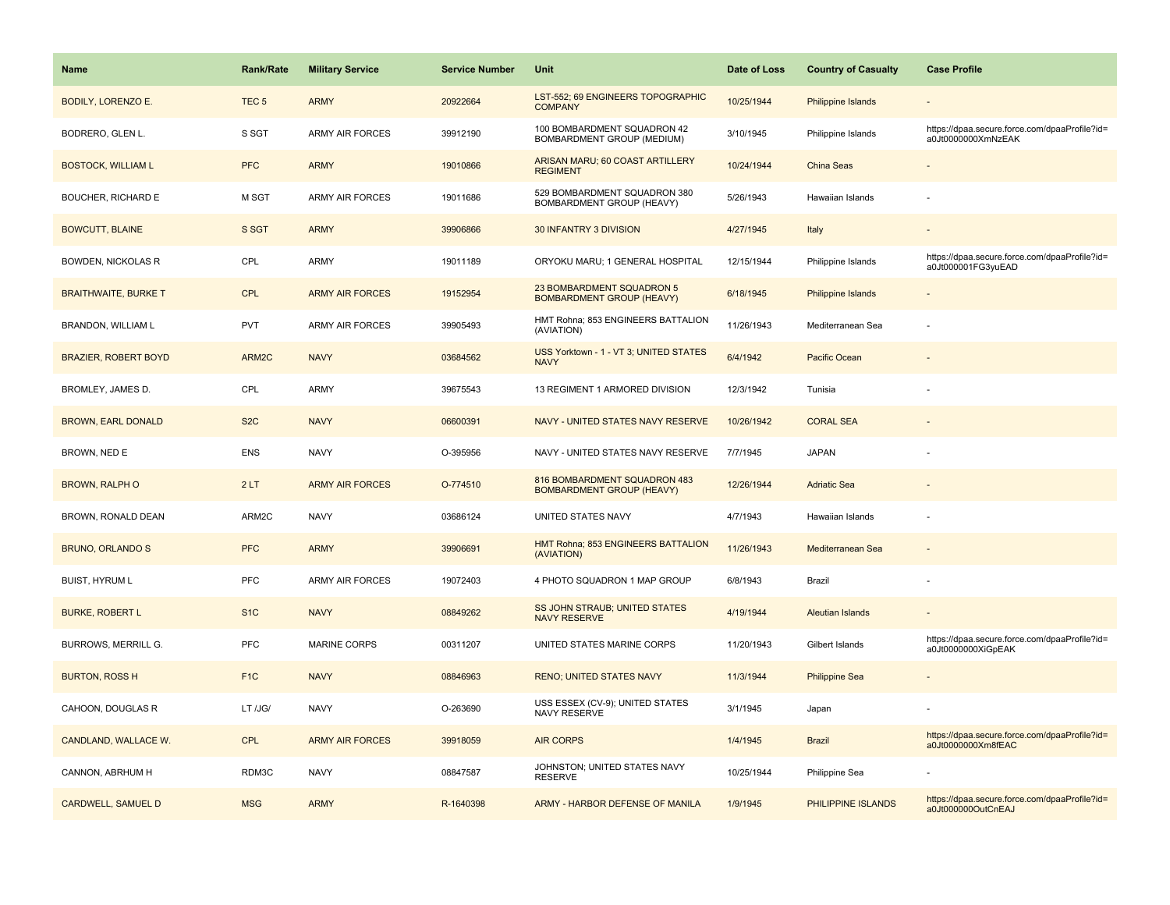| <b>Name</b>                 | <b>Rank/Rate</b> | <b>Military Service</b> | <b>Service Number</b> | Unit                                                             | Date of Loss | <b>Country of Casualty</b> | <b>Case Profile</b>                                                 |
|-----------------------------|------------------|-------------------------|-----------------------|------------------------------------------------------------------|--------------|----------------------------|---------------------------------------------------------------------|
| <b>BODILY, LORENZO E.</b>   | TEC <sub>5</sub> | <b>ARMY</b>             | 20922664              | LST-552; 69 ENGINEERS TOPOGRAPHIC<br><b>COMPANY</b>              | 10/25/1944   | <b>Philippine Islands</b>  |                                                                     |
| BODRERO, GLEN L.            | S SGT            | <b>ARMY AIR FORCES</b>  | 39912190              | 100 BOMBARDMENT SQUADRON 42<br>BOMBARDMENT GROUP (MEDIUM)        | 3/10/1945    | Philippine Islands         | https://dpaa.secure.force.com/dpaaProfile?id=<br>a0Jt0000000XmNzEAK |
| <b>BOSTOCK, WILLIAM L</b>   | <b>PFC</b>       | <b>ARMY</b>             | 19010866              | ARISAN MARU; 60 COAST ARTILLERY<br><b>REGIMENT</b>               | 10/24/1944   | China Seas                 |                                                                     |
| <b>BOUCHER, RICHARD E</b>   | M SGT            | <b>ARMY AIR FORCES</b>  | 19011686              | 529 BOMBARDMENT SQUADRON 380<br>BOMBARDMENT GROUP (HEAVY)        | 5/26/1943    | Hawaiian Islands           |                                                                     |
| <b>BOWCUTT, BLAINE</b>      | S SGT            | <b>ARMY</b>             | 39906866              | 30 INFANTRY 3 DIVISION                                           | 4/27/1945    | Italy                      |                                                                     |
| BOWDEN, NICKOLAS R          | CPL              | ARMY                    | 19011189              | ORYOKU MARU; 1 GENERAL HOSPITAL                                  | 12/15/1944   | Philippine Islands         | https://dpaa.secure.force.com/dpaaProfile?id=<br>a0Jt000001FG3yuEAD |
| <b>BRAITHWAITE, BURKE T</b> | <b>CPL</b>       | <b>ARMY AIR FORCES</b>  | 19152954              | 23 BOMBARDMENT SQUADRON 5<br><b>BOMBARDMENT GROUP (HEAVY)</b>    | 6/18/1945    | Philippine Islands         |                                                                     |
| BRANDON, WILLIAM L          | <b>PVT</b>       | <b>ARMY AIR FORCES</b>  | 39905493              | HMT Rohna; 853 ENGINEERS BATTALION<br>(AVIATION)                 | 11/26/1943   | Mediterranean Sea          |                                                                     |
| <b>BRAZIER, ROBERT BOYD</b> | ARM2C            | <b>NAVY</b>             | 03684562              | USS Yorktown - 1 - VT 3; UNITED STATES<br><b>NAVY</b>            | 6/4/1942     | Pacific Ocean              |                                                                     |
| BROMLEY, JAMES D.           | CPL              | ARMY                    | 39675543              | 13 REGIMENT 1 ARMORED DIVISION                                   | 12/3/1942    | Tunisia                    |                                                                     |
| <b>BROWN, EARL DONALD</b>   | S <sub>2</sub> C | <b>NAVY</b>             | 06600391              | NAVY - UNITED STATES NAVY RESERVE                                | 10/26/1942   | <b>CORAL SEA</b>           |                                                                     |
| BROWN, NED E                | <b>ENS</b>       | <b>NAVY</b>             | O-395956              | NAVY - UNITED STATES NAVY RESERVE                                | 7/7/1945     | <b>JAPAN</b>               |                                                                     |
| <b>BROWN, RALPH O</b>       | 2LT              | <b>ARMY AIR FORCES</b>  | O-774510              | 816 BOMBARDMENT SQUADRON 483<br><b>BOMBARDMENT GROUP (HEAVY)</b> | 12/26/1944   | <b>Adriatic Sea</b>        |                                                                     |
| BROWN, RONALD DEAN          | ARM2C            | <b>NAVY</b>             | 03686124              | UNITED STATES NAVY                                               | 4/7/1943     | Hawaiian Islands           |                                                                     |
| <b>BRUNO, ORLANDO S</b>     | <b>PFC</b>       | <b>ARMY</b>             | 39906691              | HMT Rohna; 853 ENGINEERS BATTALION<br>(AVIATION)                 | 11/26/1943   | Mediterranean Sea          |                                                                     |
| <b>BUIST, HYRUM L</b>       | <b>PFC</b>       | <b>ARMY AIR FORCES</b>  | 19072403              | 4 PHOTO SQUADRON 1 MAP GROUP                                     | 6/8/1943     | Brazil                     |                                                                     |
| <b>BURKE, ROBERT L</b>      | S <sub>1</sub> C | <b>NAVY</b>             | 08849262              | SS JOHN STRAUB; UNITED STATES<br><b>NAVY RESERVE</b>             | 4/19/1944    | <b>Aleutian Islands</b>    |                                                                     |
| BURROWS, MERRILL G.         | <b>PFC</b>       | <b>MARINE CORPS</b>     | 00311207              | UNITED STATES MARINE CORPS                                       | 11/20/1943   | Gilbert Islands            | https://dpaa.secure.force.com/dpaaProfile?id=<br>a0Jt0000000XiGpEAK |
| <b>BURTON, ROSS H</b>       | F <sub>1</sub> C | <b>NAVY</b>             | 08846963              | <b>RENO; UNITED STATES NAVY</b>                                  | 11/3/1944    | <b>Philippine Sea</b>      |                                                                     |
| CAHOON, DOUGLAS R           | LT /JG/          | <b>NAVY</b>             | O-263690              | USS ESSEX (CV-9); UNITED STATES<br>NAVY RESERVE                  | 3/1/1945     | Japan                      |                                                                     |
| CANDLAND, WALLACE W.        | <b>CPL</b>       | <b>ARMY AIR FORCES</b>  | 39918059              | <b>AIR CORPS</b>                                                 | 1/4/1945     | <b>Brazil</b>              | https://dpaa.secure.force.com/dpaaProfile?id=<br>a0Jt0000000Xm8fEAC |
| CANNON, ABRHUM H            | RDM3C            | <b>NAVY</b>             | 08847587              | JOHNSTON; UNITED STATES NAVY<br><b>RESERVE</b>                   | 10/25/1944   | Philippine Sea             |                                                                     |
| CARDWELL, SAMUEL D          | <b>MSG</b>       | <b>ARMY</b>             | R-1640398             | ARMY - HARBOR DEFENSE OF MANILA                                  | 1/9/1945     | PHILIPPINE ISLANDS         | https://dpaa.secure.force.com/dpaaProfile?id=<br>a0Jt000000OutCnEAJ |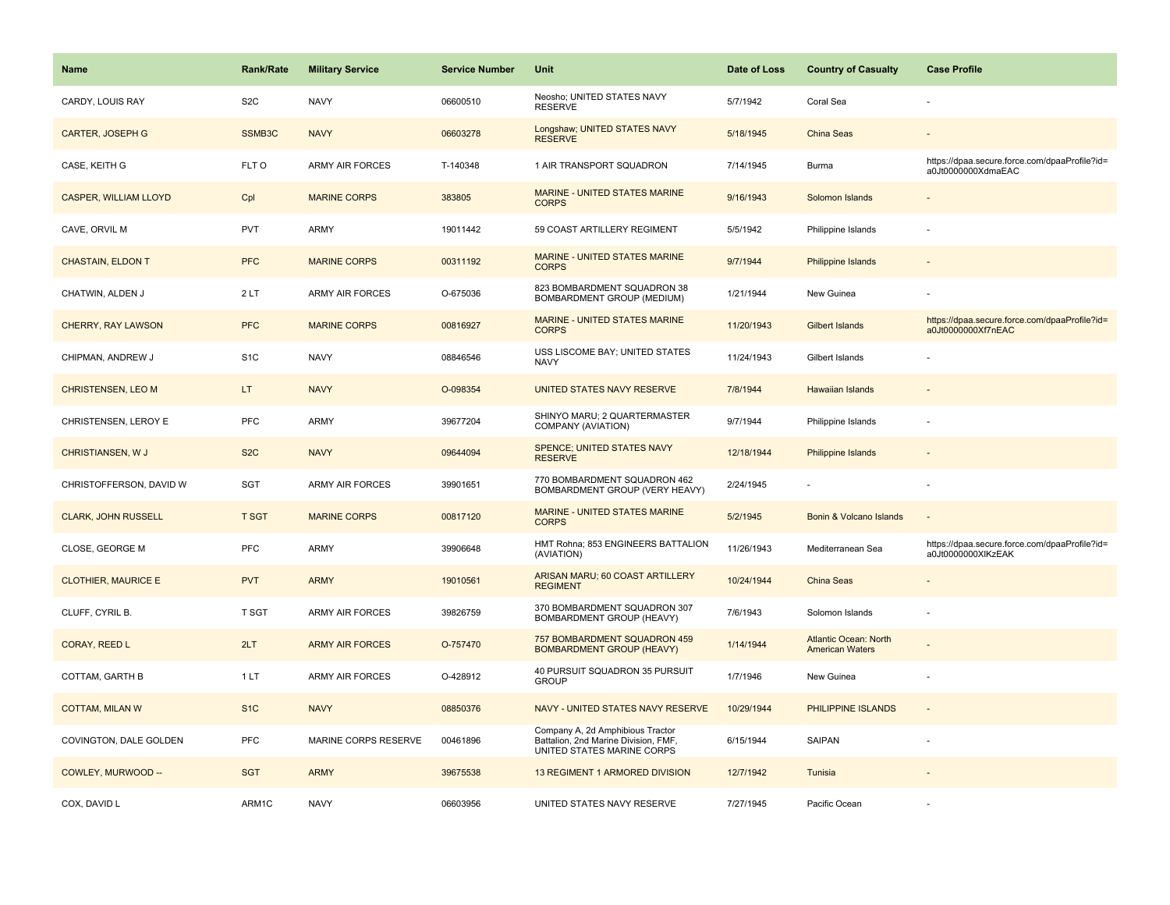| Name                         | <b>Rank/Rate</b> | <b>Military Service</b> | <b>Service Number</b> | Unit                                                                                                   | Date of Loss | <b>Country of Casualty</b>                             | <b>Case Profile</b>                                                 |
|------------------------------|------------------|-------------------------|-----------------------|--------------------------------------------------------------------------------------------------------|--------------|--------------------------------------------------------|---------------------------------------------------------------------|
| CARDY, LOUIS RAY             | S <sub>2</sub> C | <b>NAVY</b>             | 06600510              | Neosho; UNITED STATES NAVY<br><b>RESERVE</b>                                                           | 5/7/1942     | Coral Sea                                              |                                                                     |
| <b>CARTER, JOSEPH G</b>      | SSMB3C           | <b>NAVY</b>             | 06603278              | Longshaw; UNITED STATES NAVY<br><b>RESERVE</b>                                                         | 5/18/1945    | <b>China Seas</b>                                      |                                                                     |
| CASE, KEITH G                | FLT O            | <b>ARMY AIR FORCES</b>  | T-140348              | 1 AIR TRANSPORT SQUADRON                                                                               | 7/14/1945    | Burma                                                  | https://dpaa.secure.force.com/dpaaProfile?id=<br>a0Jt0000000XdmaEAC |
| <b>CASPER, WILLIAM LLOYD</b> | Cpl              | <b>MARINE CORPS</b>     | 383805                | <b>MARINE - UNITED STATES MARINE</b><br><b>CORPS</b>                                                   | 9/16/1943    | Solomon Islands                                        |                                                                     |
| CAVE, ORVIL M                | <b>PVT</b>       | <b>ARMY</b>             | 19011442              | 59 COAST ARTILLERY REGIMENT                                                                            | 5/5/1942     | Philippine Islands                                     |                                                                     |
| <b>CHASTAIN, ELDON T</b>     | <b>PFC</b>       | <b>MARINE CORPS</b>     | 00311192              | MARINE - UNITED STATES MARINE<br><b>CORPS</b>                                                          | 9/7/1944     | Philippine Islands                                     |                                                                     |
| CHATWIN, ALDEN J             | 2LT              | ARMY AIR FORCES         | O-675036              | 823 BOMBARDMENT SQUADRON 38<br>BOMBARDMENT GROUP (MEDIUM)                                              | 1/21/1944    | New Guinea                                             |                                                                     |
| <b>CHERRY, RAY LAWSON</b>    | <b>PFC</b>       | <b>MARINE CORPS</b>     | 00816927              | MARINE - UNITED STATES MARINE<br><b>CORPS</b>                                                          | 11/20/1943   | <b>Gilbert Islands</b>                                 | https://dpaa.secure.force.com/dpaaProfile?id=<br>a0Jt0000000Xf7nEAC |
| CHIPMAN, ANDREW J            | S <sub>1C</sub>  | <b>NAVY</b>             | 08846546              | USS LISCOME BAY; UNITED STATES<br><b>NAVY</b>                                                          | 11/24/1943   | Gilbert Islands                                        |                                                                     |
| <b>CHRISTENSEN, LEO M</b>    | LT.              | <b>NAVY</b>             | O-098354              | UNITED STATES NAVY RESERVE                                                                             | 7/8/1944     | <b>Hawaiian Islands</b>                                |                                                                     |
| CHRISTENSEN, LEROY E         | <b>PFC</b>       | ARMY                    | 39677204              | SHINYO MARU; 2 QUARTERMASTER<br>COMPANY (AVIATION)                                                     | 9/7/1944     | Philippine Islands                                     |                                                                     |
| CHRISTIANSEN, W J            | S <sub>2</sub> C | <b>NAVY</b>             | 09644094              | <b>SPENCE; UNITED STATES NAVY</b><br><b>RESERVE</b>                                                    | 12/18/1944   | Philippine Islands                                     |                                                                     |
| CHRISTOFFERSON, DAVID W      | SGT              | <b>ARMY AIR FORCES</b>  | 39901651              | 770 BOMBARDMENT SQUADRON 462<br>BOMBARDMENT GROUP (VERY HEAVY)                                         | 2/24/1945    |                                                        |                                                                     |
| <b>CLARK, JOHN RUSSELL</b>   | <b>T SGT</b>     | <b>MARINE CORPS</b>     | 00817120              | MARINE - UNITED STATES MARINE<br><b>CORPS</b>                                                          | 5/2/1945     | Bonin & Volcano Islands                                |                                                                     |
| CLOSE, GEORGE M              | PFC              | ARMY                    | 39906648              | HMT Rohna; 853 ENGINEERS BATTALION<br>(AVIATION)                                                       | 11/26/1943   | Mediterranean Sea                                      | https://dpaa.secure.force.com/dpaaProfile?id=<br>a0Jt0000000XlKzEAK |
| <b>CLOTHIER, MAURICE E</b>   | <b>PVT</b>       | <b>ARMY</b>             | 19010561              | ARISAN MARU; 60 COAST ARTILLERY<br><b>REGIMENT</b>                                                     | 10/24/1944   | China Seas                                             |                                                                     |
| CLUFF, CYRIL B.              | T SGT            | <b>ARMY AIR FORCES</b>  | 39826759              | 370 BOMBARDMENT SQUADRON 307<br>BOMBARDMENT GROUP (HEAVY)                                              | 7/6/1943     | Solomon Islands                                        |                                                                     |
| CORAY, REED L                | 2LT              | <b>ARMY AIR FORCES</b>  | O-757470              | 757 BOMBARDMENT SQUADRON 459<br><b>BOMBARDMENT GROUP (HEAVY)</b>                                       | 1/14/1944    | <b>Atlantic Ocean: North</b><br><b>American Waters</b> |                                                                     |
| COTTAM, GARTH B              | 1LT              | ARMY AIR FORCES         | O-428912              | 40 PURSUIT SQUADRON 35 PURSUIT<br><b>GROUP</b>                                                         | 1/7/1946     | New Guinea                                             |                                                                     |
| <b>COTTAM, MILAN W</b>       | S <sub>1C</sub>  | <b>NAVY</b>             | 08850376              | NAVY - UNITED STATES NAVY RESERVE                                                                      | 10/29/1944   | PHILIPPINE ISLANDS                                     | $\sim$                                                              |
| COVINGTON, DALE GOLDEN       | PFC              | MARINE CORPS RESERVE    | 00461896              | Company A, 2d Amphibious Tractor<br>Battalion, 2nd Marine Division, FMF,<br>UNITED STATES MARINE CORPS | 6/15/1944    | <b>SAIPAN</b>                                          |                                                                     |
| COWLEY, MURWOOD --           | <b>SGT</b>       | <b>ARMY</b>             | 39675538              | 13 REGIMENT 1 ARMORED DIVISION                                                                         | 12/7/1942    | Tunisia                                                |                                                                     |
| COX, DAVID L                 | ARM1C            | <b>NAVY</b>             | 06603956              | UNITED STATES NAVY RESERVE                                                                             | 7/27/1945    | Pacific Ocean                                          |                                                                     |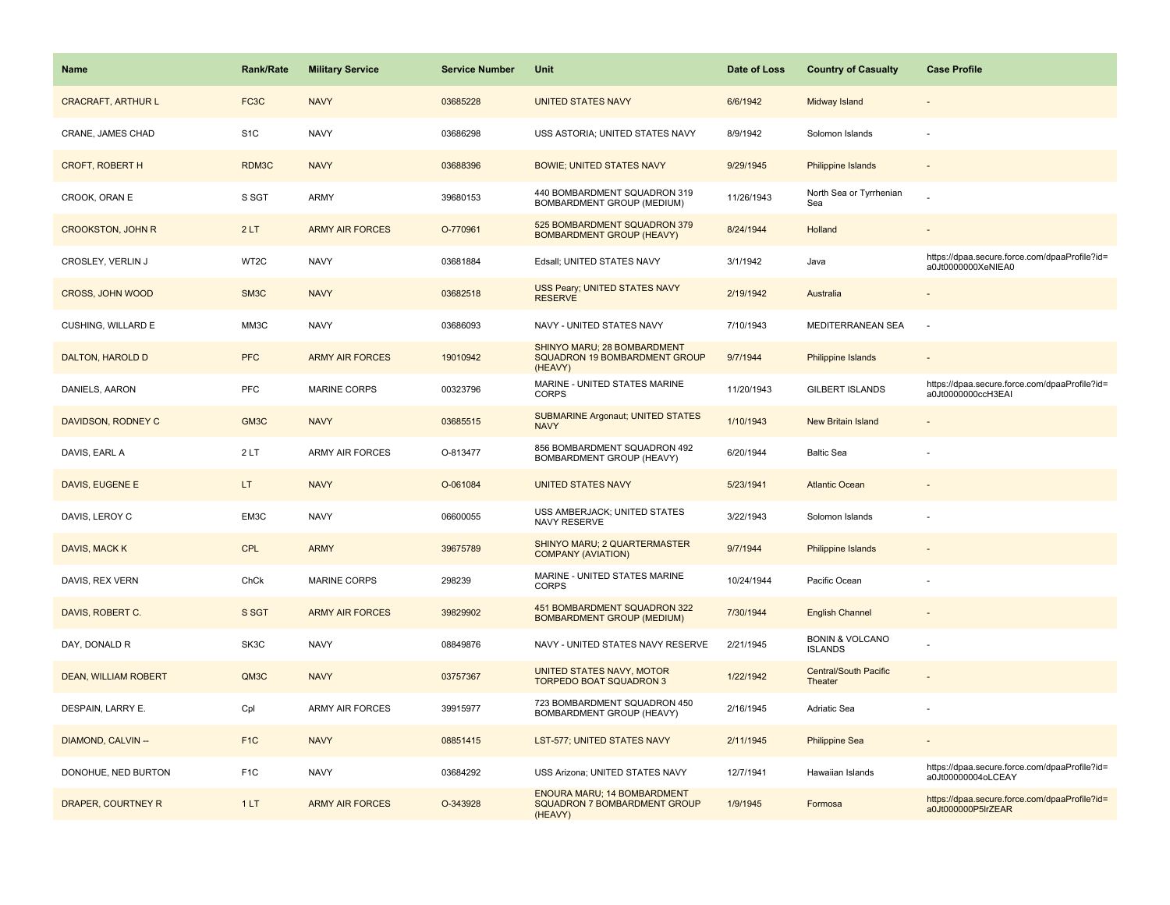| <b>Name</b>                 | <b>Rank/Rate</b>  | <b>Military Service</b> | <b>Service Number</b> | Unit                                                                                 | Date of Loss | <b>Country of Casualty</b>                   | <b>Case Profile</b>                                                 |
|-----------------------------|-------------------|-------------------------|-----------------------|--------------------------------------------------------------------------------------|--------------|----------------------------------------------|---------------------------------------------------------------------|
| <b>CRACRAFT, ARTHUR L</b>   | FC <sub>3</sub> C | <b>NAVY</b>             | 03685228              | <b>UNITED STATES NAVY</b>                                                            | 6/6/1942     | Midway Island                                |                                                                     |
| CRANE, JAMES CHAD           | S <sub>1</sub> C  | <b>NAVY</b>             | 03686298              | USS ASTORIA; UNITED STATES NAVY                                                      | 8/9/1942     | Solomon Islands                              |                                                                     |
| <b>CROFT, ROBERT H</b>      | RDM3C             | <b>NAVY</b>             | 03688396              | <b>BOWIE; UNITED STATES NAVY</b>                                                     | 9/29/1945    | <b>Philippine Islands</b>                    |                                                                     |
| CROOK, ORAN E               | S SGT             | ARMY                    | 39680153              | 440 BOMBARDMENT SQUADRON 319<br>BOMBARDMENT GROUP (MEDIUM)                           | 11/26/1943   | North Sea or Tyrrhenian<br>Sea               |                                                                     |
| <b>CROOKSTON, JOHN R</b>    | 2LT               | <b>ARMY AIR FORCES</b>  | O-770961              | 525 BOMBARDMENT SQUADRON 379<br><b>BOMBARDMENT GROUP (HEAVY)</b>                     | 8/24/1944    | Holland                                      |                                                                     |
| CROSLEY, VERLIN J           | WT <sub>2</sub> C | <b>NAVY</b>             | 03681884              | Edsall; UNITED STATES NAVY                                                           | 3/1/1942     | Java                                         | https://dpaa.secure.force.com/dpaaProfile?id=<br>a0Jt0000000XeNIEA0 |
| CROSS, JOHN WOOD            | SM3C              | <b>NAVY</b>             | 03682518              | USS Peary; UNITED STATES NAVY<br><b>RESERVE</b>                                      | 2/19/1942    | Australia                                    |                                                                     |
| CUSHING, WILLARD E          | MM3C              | <b>NAVY</b>             | 03686093              | NAVY - UNITED STATES NAVY                                                            | 7/10/1943    | MEDITERRANEAN SEA                            |                                                                     |
| DALTON, HAROLD D            | <b>PFC</b>        | <b>ARMY AIR FORCES</b>  | 19010942              | SHINYO MARU; 28 BOMBARDMENT<br>SQUADRON 19 BOMBARDMENT GROUP<br>(HEAVY)              | 9/7/1944     | Philippine Islands                           |                                                                     |
| DANIELS, AARON              | PFC               | <b>MARINE CORPS</b>     | 00323796              | MARINE - UNITED STATES MARINE<br><b>CORPS</b>                                        | 11/20/1943   | <b>GILBERT ISLANDS</b>                       | https://dpaa.secure.force.com/dpaaProfile?id=<br>a0Jt0000000ccH3EAI |
| DAVIDSON, RODNEY C          | GM3C              | <b>NAVY</b>             | 03685515              | <b>SUBMARINE Argonaut; UNITED STATES</b><br><b>NAVY</b>                              | 1/10/1943    | <b>New Britain Island</b>                    |                                                                     |
| DAVIS, EARL A               | 2LT               | <b>ARMY AIR FORCES</b>  | O-813477              | 856 BOMBARDMENT SQUADRON 492<br>BOMBARDMENT GROUP (HEAVY)                            | 6/20/1944    | <b>Baltic Sea</b>                            |                                                                     |
| DAVIS, EUGENE E             | LT.               | <b>NAVY</b>             | O-061084              | <b>UNITED STATES NAVY</b>                                                            | 5/23/1941    | <b>Atlantic Ocean</b>                        |                                                                     |
| DAVIS, LEROY C              | EM3C              | <b>NAVY</b>             | 06600055              | USS AMBERJACK; UNITED STATES<br>NAVY RESERVE                                         | 3/22/1943    | Solomon Islands                              |                                                                     |
| DAVIS, MACK K               | <b>CPL</b>        | <b>ARMY</b>             | 39675789              | SHINYO MARU; 2 QUARTERMASTER<br><b>COMPANY (AVIATION)</b>                            | 9/7/1944     | <b>Philippine Islands</b>                    |                                                                     |
| DAVIS, REX VERN             | ChCk              | <b>MARINE CORPS</b>     | 298239                | MARINE - UNITED STATES MARINE<br><b>CORPS</b>                                        | 10/24/1944   | Pacific Ocean                                |                                                                     |
| DAVIS, ROBERT C.            | S SGT             | <b>ARMY AIR FORCES</b>  | 39829902              | 451 BOMBARDMENT SQUADRON 322<br><b>BOMBARDMENT GROUP (MEDIUM)</b>                    | 7/30/1944    | <b>English Channel</b>                       |                                                                     |
| DAY, DONALD R               | SK3C              | <b>NAVY</b>             | 08849876              | NAVY - UNITED STATES NAVY RESERVE                                                    | 2/21/1945    | <b>BONIN &amp; VOLCANO</b><br><b>ISLANDS</b> |                                                                     |
| <b>DEAN, WILLIAM ROBERT</b> | QM3C              | <b>NAVY</b>             | 03757367              | UNITED STATES NAVY, MOTOR<br><b>TORPEDO BOAT SQUADRON 3</b>                          | 1/22/1942    | <b>Central/South Pacific</b><br>Theater      |                                                                     |
| DESPAIN, LARRY E.           | Cpl               | <b>ARMY AIR FORCES</b>  | 39915977              | 723 BOMBARDMENT SQUADRON 450<br>BOMBARDMENT GROUP (HEAVY)                            | 2/16/1945    | Adriatic Sea                                 |                                                                     |
| DIAMOND, CALVIN --          | F <sub>1</sub> C  | <b>NAVY</b>             | 08851415              | LST-577; UNITED STATES NAVY                                                          | 2/11/1945    | <b>Philippine Sea</b>                        |                                                                     |
| DONOHUE, NED BURTON         | F <sub>1</sub> C  | <b>NAVY</b>             | 03684292              | USS Arizona; UNITED STATES NAVY                                                      | 12/7/1941    | Hawaiian Islands                             | https://dpaa.secure.force.com/dpaaProfile?id=<br>a0Jt00000004oLCEAY |
| <b>DRAPER, COURTNEY R</b>   | 1LT               | <b>ARMY AIR FORCES</b>  | O-343928              | <b>ENOURA MARU; 14 BOMBARDMENT</b><br><b>SQUADRON 7 BOMBARDMENT GROUP</b><br>(HEAVY) | 1/9/1945     | Formosa                                      | https://dpaa.secure.force.com/dpaaProfile?id=<br>a0Jt000000P5lrZEAR |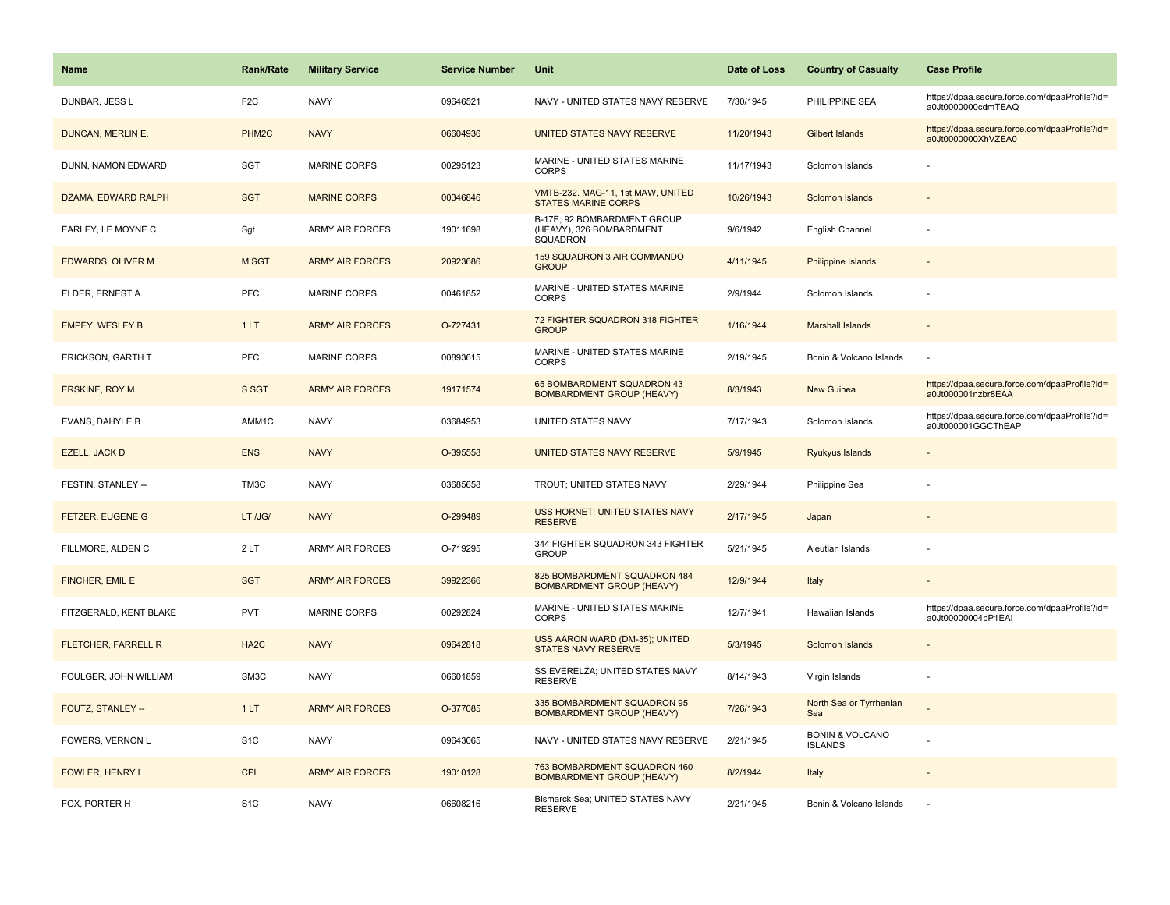| <b>Name</b>                | <b>Rank/Rate</b>   | <b>Military Service</b> | <b>Service Number</b> | Unit                                                                | Date of Loss | <b>Country of Casualty</b>                   | <b>Case Profile</b>                                                 |
|----------------------------|--------------------|-------------------------|-----------------------|---------------------------------------------------------------------|--------------|----------------------------------------------|---------------------------------------------------------------------|
| DUNBAR, JESS L             | F <sub>2</sub> C   | <b>NAVY</b>             | 09646521              | NAVY - UNITED STATES NAVY RESERVE                                   | 7/30/1945    | PHILIPPINE SEA                               | https://dpaa.secure.force.com/dpaaProfile?id=<br>a0Jt0000000cdmTEAQ |
| DUNCAN, MERLIN E.          | PHM <sub>2</sub> C | <b>NAVY</b>             | 06604936              | UNITED STATES NAVY RESERVE                                          | 11/20/1943   | <b>Gilbert Islands</b>                       | https://dpaa.secure.force.com/dpaaProfile?id=<br>a0Jt0000000XhVZEA0 |
| DUNN, NAMON EDWARD         | <b>SGT</b>         | <b>MARINE CORPS</b>     | 00295123              | MARINE - UNITED STATES MARINE<br><b>CORPS</b>                       | 11/17/1943   | Solomon Islands                              |                                                                     |
| DZAMA, EDWARD RALPH        | <b>SGT</b>         | <b>MARINE CORPS</b>     | 00346846              | VMTB-232. MAG-11, 1st MAW, UNITED<br><b>STATES MARINE CORPS</b>     | 10/26/1943   | Solomon Islands                              |                                                                     |
| EARLEY, LE MOYNE C         | Sgt                | ARMY AIR FORCES         | 19011698              | B-17E; 92 BOMBARDMENT GROUP<br>(HEAVY), 326 BOMBARDMENT<br>SQUADRON | 9/6/1942     | <b>English Channel</b>                       |                                                                     |
| <b>EDWARDS, OLIVER M</b>   | M SGT              | <b>ARMY AIR FORCES</b>  | 20923686              | 159 SQUADRON 3 AIR COMMANDO<br><b>GROUP</b>                         | 4/11/1945    | <b>Philippine Islands</b>                    |                                                                     |
| ELDER, ERNEST A.           | <b>PFC</b>         | <b>MARINE CORPS</b>     | 00461852              | MARINE - UNITED STATES MARINE<br><b>CORPS</b>                       | 2/9/1944     | Solomon Islands                              |                                                                     |
| <b>EMPEY, WESLEY B</b>     | 1LT                | <b>ARMY AIR FORCES</b>  | O-727431              | 72 FIGHTER SQUADRON 318 FIGHTER<br><b>GROUP</b>                     | 1/16/1944    | <b>Marshall Islands</b>                      |                                                                     |
| ERICKSON, GARTH T          | <b>PFC</b>         | <b>MARINE CORPS</b>     | 00893615              | MARINE - UNITED STATES MARINE<br><b>CORPS</b>                       | 2/19/1945    | Bonin & Volcano Islands                      |                                                                     |
| ERSKINE, ROY M.            | S SGT              | <b>ARMY AIR FORCES</b>  | 19171574              | 65 BOMBARDMENT SQUADRON 43<br><b>BOMBARDMENT GROUP (HEAVY)</b>      | 8/3/1943     | New Guinea                                   | https://dpaa.secure.force.com/dpaaProfile?id=<br>a0Jt000001nzbr8EAA |
| <b>EVANS, DAHYLE B</b>     | AMM1C              | <b>NAVY</b>             | 03684953              | UNITED STATES NAVY                                                  | 7/17/1943    | Solomon Islands                              | https://dpaa.secure.force.com/dpaaProfile?id=<br>a0Jt000001GGCThEAP |
| EZELL, JACK D              | <b>ENS</b>         | <b>NAVY</b>             | O-395558              | UNITED STATES NAVY RESERVE                                          | 5/9/1945     | <b>Ryukyus Islands</b>                       |                                                                     |
| FESTIN, STANLEY --         | TM3C               | <b>NAVY</b>             | 03685658              | TROUT; UNITED STATES NAVY                                           | 2/29/1944    | Philippine Sea                               |                                                                     |
| <b>FETZER, EUGENE G</b>    | LT /JG/            | <b>NAVY</b>             | O-299489              | USS HORNET; UNITED STATES NAVY<br><b>RESERVE</b>                    | 2/17/1945    | Japan                                        |                                                                     |
| FILLMORE, ALDEN C          | 2LT                | <b>ARMY AIR FORCES</b>  | O-719295              | 344 FIGHTER SQUADRON 343 FIGHTER<br><b>GROUP</b>                    | 5/21/1945    | Aleutian Islands                             |                                                                     |
| FINCHER, EMIL E            | <b>SGT</b>         | <b>ARMY AIR FORCES</b>  | 39922366              | 825 BOMBARDMENT SQUADRON 484<br><b>BOMBARDMENT GROUP (HEAVY)</b>    | 12/9/1944    | Italy                                        |                                                                     |
| FITZGERALD, KENT BLAKE     | <b>PVT</b>         | <b>MARINE CORPS</b>     | 00292824              | MARINE - UNITED STATES MARINE<br><b>CORPS</b>                       | 12/7/1941    | Hawaiian Islands                             | https://dpaa.secure.force.com/dpaaProfile?id=<br>a0Jt00000004pP1EAI |
| <b>FLETCHER, FARRELL R</b> | HA <sub>2</sub> C  | <b>NAVY</b>             | 09642818              | USS AARON WARD (DM-35); UNITED<br><b>STATES NAVY RESERVE</b>        | 5/3/1945     | Solomon Islands                              |                                                                     |
| FOULGER, JOHN WILLIAM      | SM3C               | <b>NAVY</b>             | 06601859              | SS EVERELZA: UNITED STATES NAVY<br><b>RESERVE</b>                   | 8/14/1943    | Virgin Islands                               |                                                                     |
| FOUTZ, STANLEY --          | 1LT                | <b>ARMY AIR FORCES</b>  | O-377085              | 335 BOMBARDMENT SQUADRON 95<br><b>BOMBARDMENT GROUP (HEAVY)</b>     | 7/26/1943    | North Sea or Tyrrhenian<br>Sea               |                                                                     |
| FOWERS, VERNON L           | S <sub>1</sub> C   | <b>NAVY</b>             | 09643065              | NAVY - UNITED STATES NAVY RESERVE                                   | 2/21/1945    | <b>BONIN &amp; VOLCANO</b><br><b>ISLANDS</b> |                                                                     |
| <b>FOWLER, HENRY L</b>     | <b>CPL</b>         | <b>ARMY AIR FORCES</b>  | 19010128              | 763 BOMBARDMENT SQUADRON 460<br><b>BOMBARDMENT GROUP (HEAVY)</b>    | 8/2/1944     | Italy                                        |                                                                     |
| FOX, PORTER H              | S <sub>1</sub> C   | <b>NAVY</b>             | 06608216              | Bismarck Sea; UNITED STATES NAVY<br><b>RESERVE</b>                  | 2/21/1945    | Bonin & Volcano Islands                      |                                                                     |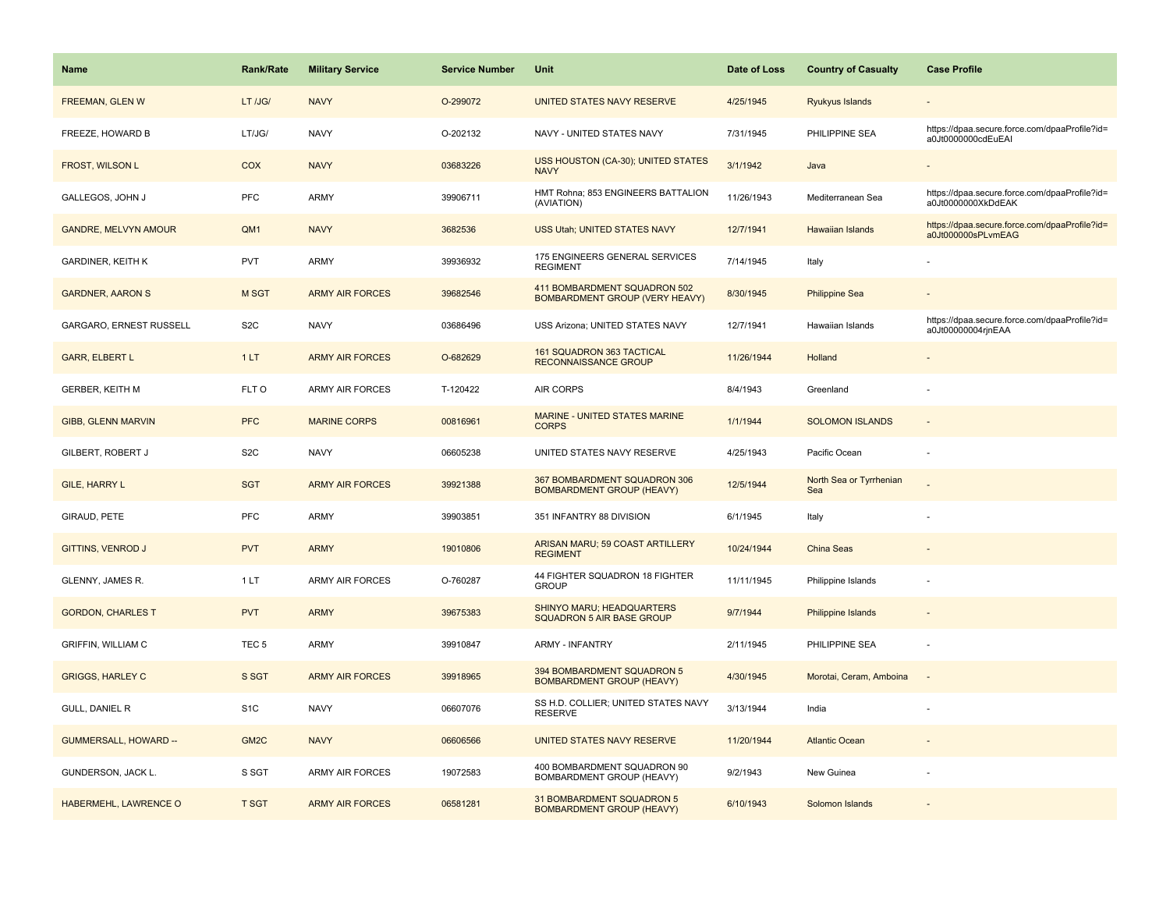| Name                         | Rank/Rate        | <b>Military Service</b> | <b>Service Number</b> | Unit                                                                  | Date of Loss | <b>Country of Casualty</b>     | <b>Case Profile</b>                                                 |
|------------------------------|------------------|-------------------------|-----------------------|-----------------------------------------------------------------------|--------------|--------------------------------|---------------------------------------------------------------------|
| <b>FREEMAN, GLEN W</b>       | LT /JG/          | <b>NAVY</b>             | O-299072              | <b>UNITED STATES NAVY RESERVE</b>                                     | 4/25/1945    | Ryukyus Islands                |                                                                     |
| FREEZE, HOWARD B             | LT/JG/           | <b>NAVY</b>             | O-202132              | NAVY - UNITED STATES NAVY                                             | 7/31/1945    | PHILIPPINE SEA                 | https://dpaa.secure.force.com/dpaaProfile?id=<br>a0Jt0000000cdEuEAI |
| FROST, WILSON L              | <b>COX</b>       | <b>NAVY</b>             | 03683226              | USS HOUSTON (CA-30); UNITED STATES<br><b>NAVY</b>                     | 3/1/1942     | Java                           |                                                                     |
| GALLEGOS, JOHN J             | <b>PFC</b>       | ARMY                    | 39906711              | HMT Rohna; 853 ENGINEERS BATTALION<br>(AVIATION)                      | 11/26/1943   | Mediterranean Sea              | https://dpaa.secure.force.com/dpaaProfile?id=<br>a0Jt0000000XkDdEAK |
| <b>GANDRE, MELVYN AMOUR</b>  | QM1              | <b>NAVY</b>             | 3682536               | USS Utah; UNITED STATES NAVY                                          | 12/7/1941    | <b>Hawaiian Islands</b>        | https://dpaa.secure.force.com/dpaaProfile?id=<br>a0Jt000000sPLvmEAG |
| <b>GARDINER, KEITH K</b>     | PVT              | <b>ARMY</b>             | 39936932              | 175 ENGINEERS GENERAL SERVICES<br><b>REGIMENT</b>                     | 7/14/1945    | Italy                          |                                                                     |
| <b>GARDNER, AARON S</b>      | <b>M SGT</b>     | <b>ARMY AIR FORCES</b>  | 39682546              | 411 BOMBARDMENT SQUADRON 502<br><b>BOMBARDMENT GROUP (VERY HEAVY)</b> | 8/30/1945    | <b>Philippine Sea</b>          |                                                                     |
| GARGARO, ERNEST RUSSELL      | S <sub>2</sub> C | <b>NAVY</b>             | 03686496              | USS Arizona; UNITED STATES NAVY                                       | 12/7/1941    | Hawaiian Islands               | https://dpaa.secure.force.com/dpaaProfile?id=<br>a0Jt00000004rjnEAA |
| <b>GARR, ELBERT L</b>        | 1LT              | <b>ARMY AIR FORCES</b>  | O-682629              | 161 SQUADRON 363 TACTICAL<br>RECONNAISSANCE GROUP                     | 11/26/1944   | Holland                        |                                                                     |
| <b>GERBER, KEITH M</b>       | FLT O            | <b>ARMY AIR FORCES</b>  | T-120422              | <b>AIR CORPS</b>                                                      | 8/4/1943     | Greenland                      |                                                                     |
| <b>GIBB, GLENN MARVIN</b>    | <b>PFC</b>       | <b>MARINE CORPS</b>     | 00816961              | <b>MARINE - UNITED STATES MARINE</b><br><b>CORPS</b>                  | 1/1/1944     | <b>SOLOMON ISLANDS</b>         |                                                                     |
| GILBERT, ROBERT J            | S <sub>2</sub> C | <b>NAVY</b>             | 06605238              | UNITED STATES NAVY RESERVE                                            | 4/25/1943    | Pacific Ocean                  |                                                                     |
| <b>GILE, HARRY L</b>         | <b>SGT</b>       | <b>ARMY AIR FORCES</b>  | 39921388              | 367 BOMBARDMENT SQUADRON 306<br><b>BOMBARDMENT GROUP (HEAVY)</b>      | 12/5/1944    | North Sea or Tyrrhenian<br>Sea |                                                                     |
| GIRAUD, PETE                 | <b>PFC</b>       | <b>ARMY</b>             | 39903851              | 351 INFANTRY 88 DIVISION                                              | 6/1/1945     | Italy                          |                                                                     |
| GITTINS, VENROD J            | <b>PVT</b>       | <b>ARMY</b>             | 19010806              | ARISAN MARU; 59 COAST ARTILLERY<br><b>REGIMENT</b>                    | 10/24/1944   | China Seas                     |                                                                     |
| GLENNY, JAMES R.             | 1 LT             | <b>ARMY AIR FORCES</b>  | O-760287              | 44 FIGHTER SQUADRON 18 FIGHTER<br><b>GROUP</b>                        | 11/11/1945   | Philippine Islands             |                                                                     |
| <b>GORDON, CHARLES T</b>     | <b>PVT</b>       | <b>ARMY</b>             | 39675383              | SHINYO MARU; HEADQUARTERS<br><b>SQUADRON 5 AIR BASE GROUP</b>         | 9/7/1944     | <b>Philippine Islands</b>      |                                                                     |
| <b>GRIFFIN, WILLIAM C</b>    | TEC <sub>5</sub> | <b>ARMY</b>             | 39910847              | <b>ARMY - INFANTRY</b>                                                | 2/11/1945    | PHILIPPINE SEA                 |                                                                     |
| <b>GRIGGS, HARLEY C</b>      | S SGT            | <b>ARMY AIR FORCES</b>  | 39918965              | 394 BOMBARDMENT SQUADRON 5<br><b>BOMBARDMENT GROUP (HEAVY)</b>        | 4/30/1945    | Morotai, Ceram, Amboina        |                                                                     |
| GULL, DANIEL R               | S <sub>1</sub> C | <b>NAVY</b>             | 06607076              | SS H.D. COLLIER; UNITED STATES NAVY<br><b>RESERVE</b>                 | 3/13/1944    | India                          |                                                                     |
| <b>GUMMERSALL, HOWARD --</b> | GM <sub>2C</sub> | <b>NAVY</b>             | 06606566              | UNITED STATES NAVY RESERVE                                            | 11/20/1944   | <b>Atlantic Ocean</b>          |                                                                     |
| GUNDERSON, JACK L.           | S SGT            | <b>ARMY AIR FORCES</b>  | 19072583              | 400 BOMBARDMENT SQUADRON 90<br>BOMBARDMENT GROUP (HEAVY)              | 9/2/1943     | New Guinea                     |                                                                     |
| HABERMEHL, LAWRENCE O        | <b>T SGT</b>     | <b>ARMY AIR FORCES</b>  | 06581281              | 31 BOMBARDMENT SQUADRON 5<br><b>BOMBARDMENT GROUP (HEAVY)</b>         | 6/10/1943    | Solomon Islands                |                                                                     |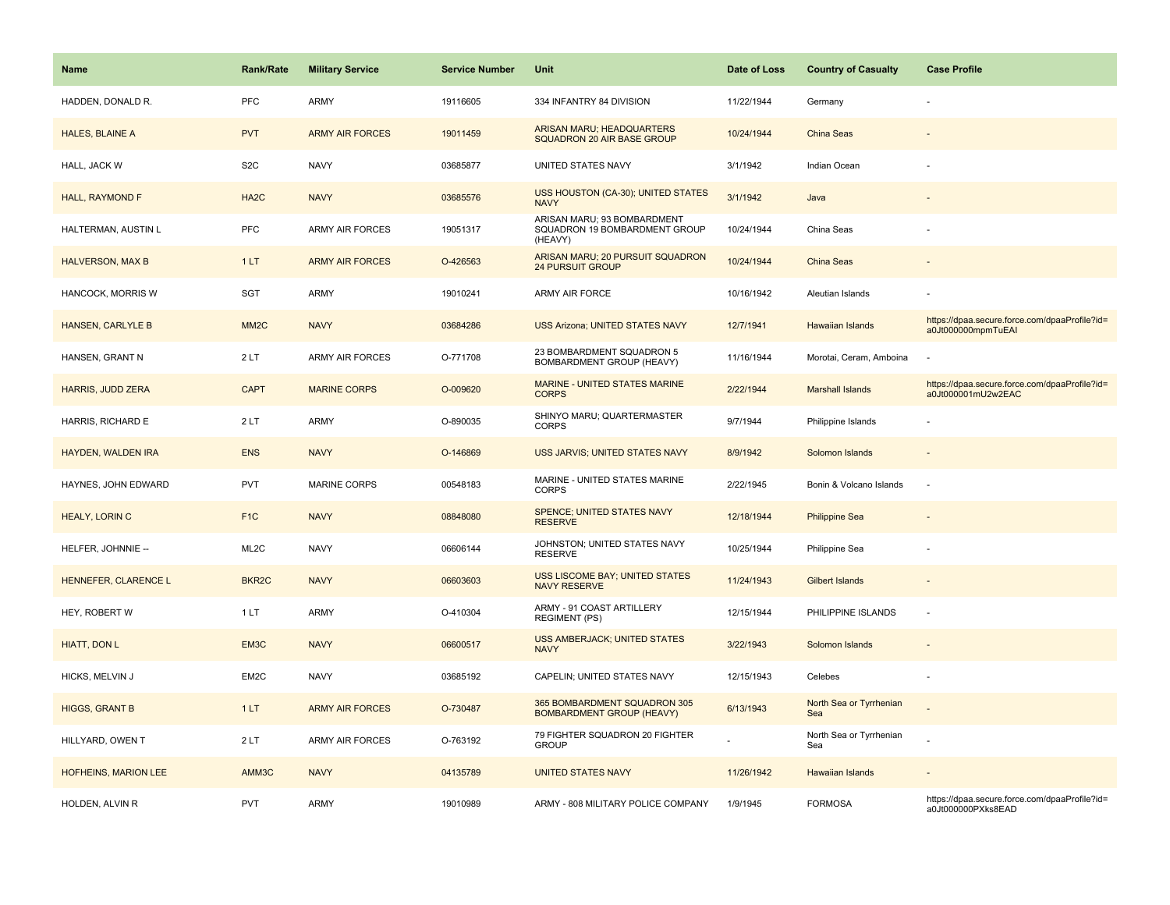| <b>Name</b>                 | <b>Rank/Rate</b>   | <b>Military Service</b> | <b>Service Number</b> | Unit                                                                    | Date of Loss | <b>Country of Casualty</b>     | <b>Case Profile</b>                                                 |
|-----------------------------|--------------------|-------------------------|-----------------------|-------------------------------------------------------------------------|--------------|--------------------------------|---------------------------------------------------------------------|
| HADDEN, DONALD R.           | PFC                | <b>ARMY</b>             | 19116605              | 334 INFANTRY 84 DIVISION                                                | 11/22/1944   | Germany                        |                                                                     |
| HALES, BLAINE A             | <b>PVT</b>         | <b>ARMY AIR FORCES</b>  | 19011459              | ARISAN MARU; HEADQUARTERS<br>SQUADRON 20 AIR BASE GROUP                 | 10/24/1944   | <b>China Seas</b>              |                                                                     |
| HALL, JACK W                | S <sub>2</sub> C   | <b>NAVY</b>             | 03685877              | UNITED STATES NAVY                                                      | 3/1/1942     | Indian Ocean                   |                                                                     |
| <b>HALL, RAYMOND F</b>      | HA <sub>2</sub> C  | <b>NAVY</b>             | 03685576              | <b>USS HOUSTON (CA-30); UNITED STATES</b><br><b>NAVY</b>                | 3/1/1942     | Java                           |                                                                     |
| HALTERMAN, AUSTIN L         | <b>PFC</b>         | <b>ARMY AIR FORCES</b>  | 19051317              | ARISAN MARU; 93 BOMBARDMENT<br>SQUADRON 19 BOMBARDMENT GROUP<br>(HEAVY) | 10/24/1944   | China Seas                     |                                                                     |
| <b>HALVERSON, MAX B</b>     | 1LT                | <b>ARMY AIR FORCES</b>  | O-426563              | ARISAN MARU; 20 PURSUIT SQUADRON<br><b>24 PURSUIT GROUP</b>             | 10/24/1944   | China Seas                     |                                                                     |
| HANCOCK, MORRIS W           | SGT                | <b>ARMY</b>             | 19010241              | ARMY AIR FORCE                                                          | 10/16/1942   | Aleutian Islands               |                                                                     |
| <b>HANSEN, CARLYLE B</b>    | MM <sub>2</sub> C  | <b>NAVY</b>             | 03684286              | <b>USS Arizona; UNITED STATES NAVY</b>                                  | 12/7/1941    | Hawaiian Islands               | https://dpaa.secure.force.com/dpaaProfile?id=<br>a0Jt000000mpmTuEAI |
| HANSEN, GRANT N             | 2LT                | ARMY AIR FORCES         | O-771708              | 23 BOMBARDMENT SQUADRON 5<br>BOMBARDMENT GROUP (HEAVY)                  | 11/16/1944   | Morotai, Ceram, Amboina        |                                                                     |
| <b>HARRIS, JUDD ZERA</b>    | <b>CAPT</b>        | <b>MARINE CORPS</b>     | O-009620              | <b>MARINE - UNITED STATES MARINE</b><br><b>CORPS</b>                    | 2/22/1944    | <b>Marshall Islands</b>        | https://dpaa.secure.force.com/dpaaProfile?id=<br>a0Jt000001mU2w2EAC |
| HARRIS, RICHARD E           | 2LT                | ARMY                    | O-890035              | SHINYO MARU; QUARTERMASTER<br><b>CORPS</b>                              | 9/7/1944     | Philippine Islands             |                                                                     |
| <b>HAYDEN, WALDEN IRA</b>   | <b>ENS</b>         | <b>NAVY</b>             | O-146869              | USS JARVIS; UNITED STATES NAVY                                          | 8/9/1942     | Solomon Islands                |                                                                     |
| HAYNES, JOHN EDWARD         | <b>PVT</b>         | MARINE CORPS            | 00548183              | MARINE - UNITED STATES MARINE<br><b>CORPS</b>                           | 2/22/1945    | Bonin & Volcano Islands        | ٠.                                                                  |
| <b>HEALY, LORIN C</b>       | F <sub>1C</sub>    | <b>NAVY</b>             | 08848080              | SPENCE; UNITED STATES NAVY<br><b>RESERVE</b>                            | 12/18/1944   | <b>Philippine Sea</b>          |                                                                     |
| HELFER, JOHNNIE --          | ML <sub>2</sub> C  | <b>NAVY</b>             | 06606144              | JOHNSTON; UNITED STATES NAVY<br><b>RESERVE</b>                          | 10/25/1944   | Philippine Sea                 |                                                                     |
| HENNEFER, CLARENCE L        | BKR <sub>2</sub> C | <b>NAVY</b>             | 06603603              | <b>USS LISCOME BAY; UNITED STATES</b><br><b>NAVY RESERVE</b>            | 11/24/1943   | <b>Gilbert Islands</b>         |                                                                     |
| HEY, ROBERT W               | 1LT                | <b>ARMY</b>             | O-410304              | ARMY - 91 COAST ARTILLERY<br><b>REGIMENT (PS)</b>                       | 12/15/1944   | PHILIPPINE ISLANDS             | ÷,                                                                  |
| <b>HIATT, DON L</b>         | EM3C               | <b>NAVY</b>             | 06600517              | <b>USS AMBERJACK; UNITED STATES</b><br><b>NAVY</b>                      | 3/22/1943    | Solomon Islands                |                                                                     |
| HICKS, MELVIN J             | EM2C               | <b>NAVY</b>             | 03685192              | CAPELIN; UNITED STATES NAVY                                             | 12/15/1943   | Celebes                        |                                                                     |
| <b>HIGGS, GRANT B</b>       | 1LT                | <b>ARMY AIR FORCES</b>  | O-730487              | 365 BOMBARDMENT SQUADRON 305<br><b>BOMBARDMENT GROUP (HEAVY)</b>        | 6/13/1943    | North Sea or Tyrrhenian<br>Sea |                                                                     |
| HILLYARD, OWEN T            | 2LT                | <b>ARMY AIR FORCES</b>  | O-763192              | 79 FIGHTER SQUADRON 20 FIGHTER<br><b>GROUP</b>                          |              | North Sea or Tyrrhenian<br>Sea |                                                                     |
| <b>HOFHEINS, MARION LEE</b> | AMM3C              | <b>NAVY</b>             | 04135789              | <b>UNITED STATES NAVY</b>                                               | 11/26/1942   | Hawaiian Islands               |                                                                     |
| HOLDEN, ALVIN R             | <b>PVT</b>         | <b>ARMY</b>             | 19010989              | ARMY - 808 MILITARY POLICE COMPANY                                      | 1/9/1945     | <b>FORMOSA</b>                 | https://dpaa.secure.force.com/dpaaProfile?id=<br>a0Jt000000PXks8EAD |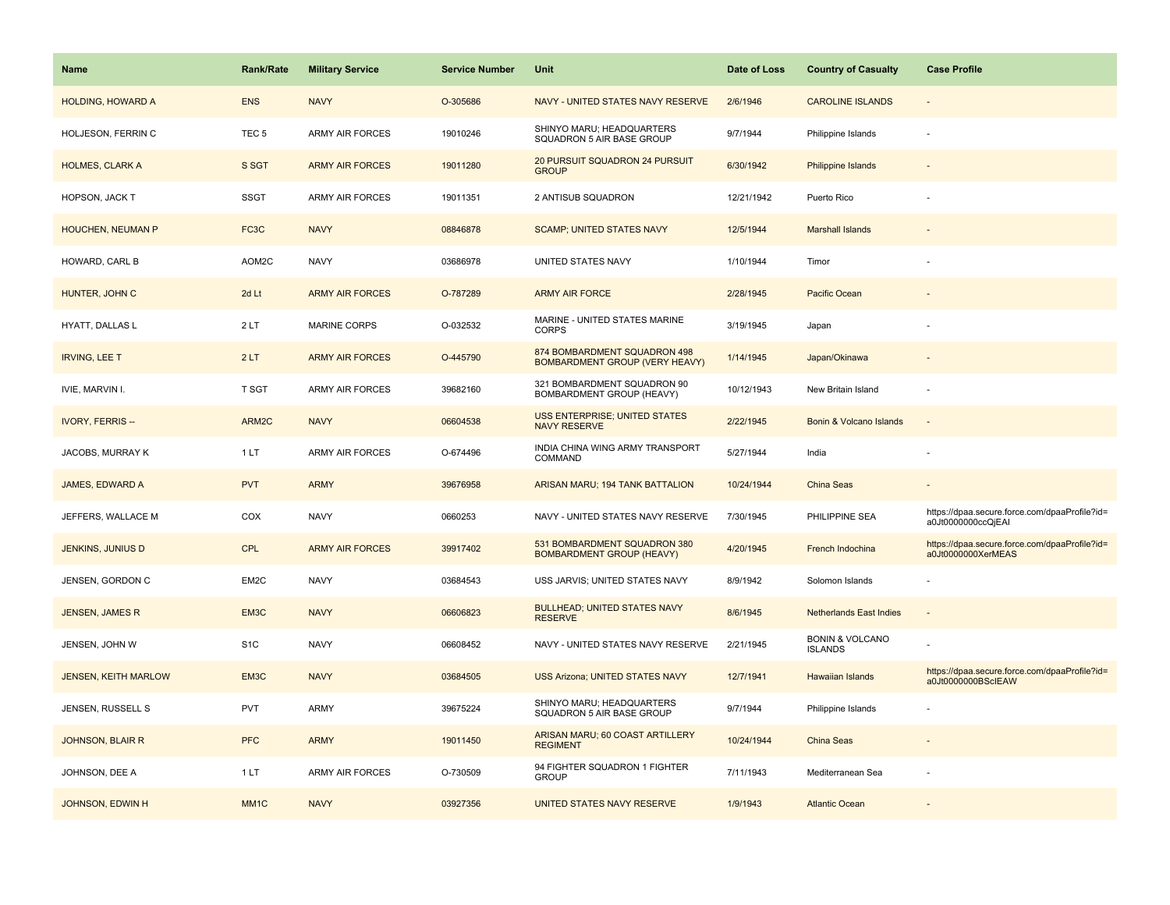| <b>Name</b>                 | <b>Rank/Rate</b>  | <b>Military Service</b> | <b>Service Number</b> | Unit                                                             | Date of Loss | <b>Country of Casualty</b>                   | <b>Case Profile</b>                                                 |
|-----------------------------|-------------------|-------------------------|-----------------------|------------------------------------------------------------------|--------------|----------------------------------------------|---------------------------------------------------------------------|
| <b>HOLDING, HOWARD A</b>    | <b>ENS</b>        | <b>NAVY</b>             | O-305686              | NAVY - UNITED STATES NAVY RESERVE                                | 2/6/1946     | <b>CAROLINE ISLANDS</b>                      | $\overline{\phantom{a}}$                                            |
| HOLJESON, FERRIN C          | TEC <sub>5</sub>  | <b>ARMY AIR FORCES</b>  | 19010246              | SHINYO MARU; HEADQUARTERS<br>SQUADRON 5 AIR BASE GROUP           | 9/7/1944     | Philippine Islands                           |                                                                     |
| <b>HOLMES, CLARK A</b>      | S SGT             | <b>ARMY AIR FORCES</b>  | 19011280              | 20 PURSUIT SQUADRON 24 PURSUIT<br><b>GROUP</b>                   | 6/30/1942    | Philippine Islands                           |                                                                     |
| HOPSON, JACK T              | <b>SSGT</b>       | <b>ARMY AIR FORCES</b>  | 19011351              | 2 ANTISUB SQUADRON                                               | 12/21/1942   | Puerto Rico                                  |                                                                     |
| HOUCHEN, NEUMAN P           | FC <sub>3</sub> C | <b>NAVY</b>             | 08846878              | <b>SCAMP; UNITED STATES NAVY</b>                                 | 12/5/1944    | <b>Marshall Islands</b>                      |                                                                     |
| HOWARD, CARL B              | AOM2C             | <b>NAVY</b>             | 03686978              | UNITED STATES NAVY                                               | 1/10/1944    | Timor                                        |                                                                     |
| HUNTER, JOHN C              | 2d Lt             | <b>ARMY AIR FORCES</b>  | O-787289              | <b>ARMY AIR FORCE</b>                                            | 2/28/1945    | Pacific Ocean                                |                                                                     |
| HYATT, DALLAS L             | 2LT               | <b>MARINE CORPS</b>     | O-032532              | MARINE - UNITED STATES MARINE<br><b>CORPS</b>                    | 3/19/1945    | Japan                                        |                                                                     |
| <b>IRVING, LEE T</b>        | 2LT               | <b>ARMY AIR FORCES</b>  | O-445790              | 874 BOMBARDMENT SQUADRON 498<br>BOMBARDMENT GROUP (VERY HEAVY)   | 1/14/1945    | Japan/Okinawa                                |                                                                     |
| IVIE, MARVIN I.             | T SGT             | ARMY AIR FORCES         | 39682160              | 321 BOMBARDMENT SQUADRON 90<br>BOMBARDMENT GROUP (HEAVY)         | 10/12/1943   | New Britain Island                           |                                                                     |
| <b>IVORY, FERRIS --</b>     | ARM2C             | <b>NAVY</b>             | 06604538              | <b>USS ENTERPRISE; UNITED STATES</b><br><b>NAVY RESERVE</b>      | 2/22/1945    | Bonin & Volcano Islands                      |                                                                     |
| JACOBS, MURRAY K            | 1LT               | ARMY AIR FORCES         | O-674496              | INDIA CHINA WING ARMY TRANSPORT<br>COMMAND                       | 5/27/1944    | India                                        |                                                                     |
| <b>JAMES, EDWARD A</b>      | <b>PVT</b>        | <b>ARMY</b>             | 39676958              | ARISAN MARU; 194 TANK BATTALION                                  | 10/24/1944   | <b>China Seas</b>                            |                                                                     |
| JEFFERS, WALLACE M          | COX               | <b>NAVY</b>             | 0660253               | NAVY - UNITED STATES NAVY RESERVE                                | 7/30/1945    | PHILIPPINE SEA                               | https://dpaa.secure.force.com/dpaaProfile?id=<br>a0Jt0000000ccQjEAI |
| <b>JENKINS, JUNIUS D</b>    | <b>CPL</b>        | <b>ARMY AIR FORCES</b>  | 39917402              | 531 BOMBARDMENT SQUADRON 380<br><b>BOMBARDMENT GROUP (HEAVY)</b> | 4/20/1945    | French Indochina                             | https://dpaa.secure.force.com/dpaaProfile?id=<br>a0Jt0000000XerMEAS |
| JENSEN, GORDON C            | EM2C              | <b>NAVY</b>             | 03684543              | USS JARVIS; UNITED STATES NAVY                                   | 8/9/1942     | Solomon Islands                              |                                                                     |
| <b>JENSEN, JAMES R</b>      | EM3C              | <b>NAVY</b>             | 06606823              | <b>BULLHEAD; UNITED STATES NAVY</b><br><b>RESERVE</b>            | 8/6/1945     | <b>Netherlands East Indies</b>               |                                                                     |
| JENSEN, JOHN W              | S <sub>1</sub> C  | <b>NAVY</b>             | 06608452              | NAVY - UNITED STATES NAVY RESERVE                                | 2/21/1945    | <b>BONIN &amp; VOLCANO</b><br><b>ISLANDS</b> |                                                                     |
| <b>JENSEN, KEITH MARLOW</b> | EM3C              | <b>NAVY</b>             | 03684505              | USS Arizona; UNITED STATES NAVY                                  | 12/7/1941    | Hawaiian Islands                             | https://dpaa.secure.force.com/dpaaProfile?id=<br>a0Jt0000000BScIEAW |
| JENSEN, RUSSELL S           | <b>PVT</b>        | ARMY                    | 39675224              | SHINYO MARU; HEADQUARTERS<br>SQUADRON 5 AIR BASE GROUP           | 9/7/1944     | Philippine Islands                           |                                                                     |
| <b>JOHNSON, BLAIR R</b>     | <b>PFC</b>        | <b>ARMY</b>             | 19011450              | ARISAN MARU; 60 COAST ARTILLERY<br><b>REGIMENT</b>               | 10/24/1944   | <b>China Seas</b>                            |                                                                     |
| JOHNSON, DEE A              | 1LT               | <b>ARMY AIR FORCES</b>  | O-730509              | 94 FIGHTER SQUADRON 1 FIGHTER<br><b>GROUP</b>                    | 7/11/1943    | Mediterranean Sea                            |                                                                     |
| JOHNSON, EDWIN H            | MM <sub>1</sub> C | <b>NAVY</b>             | 03927356              | UNITED STATES NAVY RESERVE                                       | 1/9/1943     | <b>Atlantic Ocean</b>                        |                                                                     |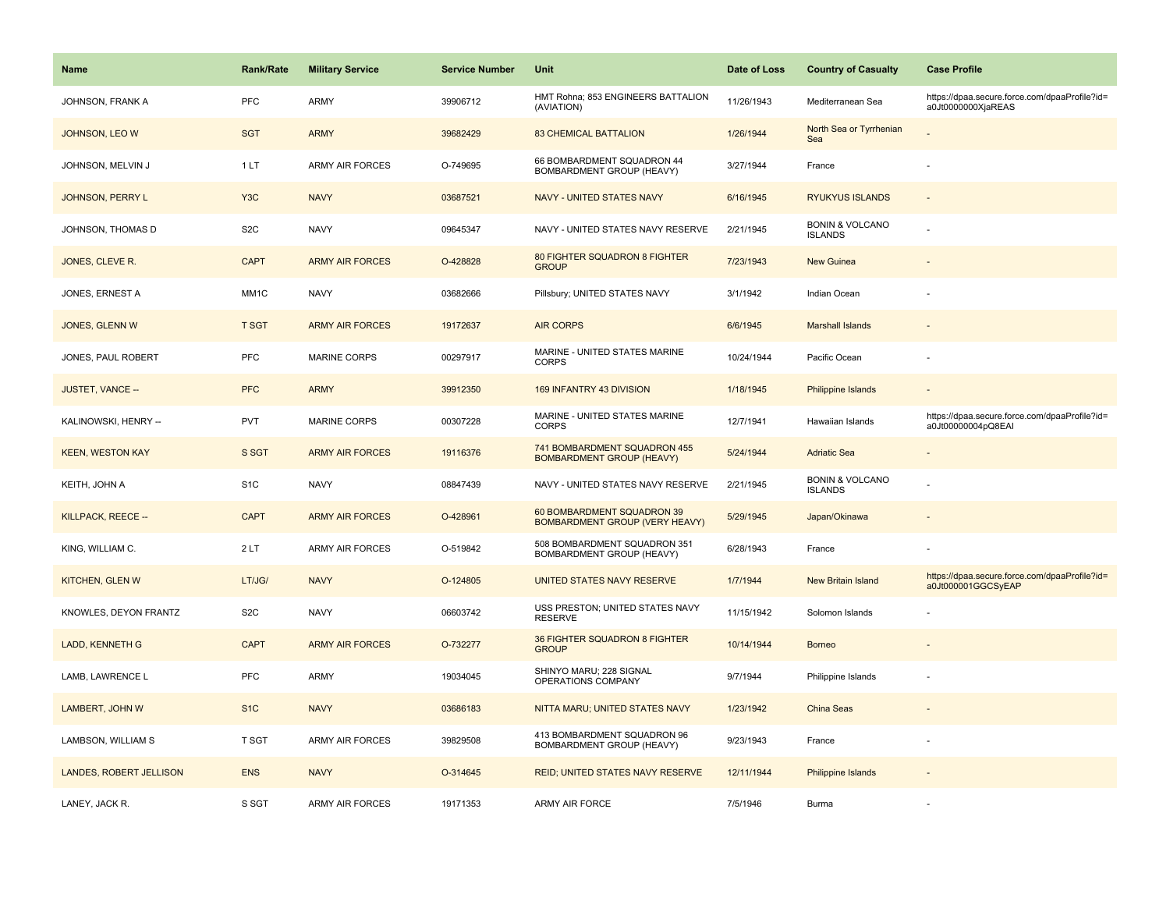| <b>Name</b>             | <b>Rank/Rate</b> | <b>Military Service</b> | <b>Service Number</b> | Unit                                                                | Date of Loss | <b>Country of Casualty</b>                   | <b>Case Profile</b>                                                 |
|-------------------------|------------------|-------------------------|-----------------------|---------------------------------------------------------------------|--------------|----------------------------------------------|---------------------------------------------------------------------|
| JOHNSON, FRANK A        | PFC              | ARMY                    | 39906712              | HMT Rohna; 853 ENGINEERS BATTALION<br>(AVIATION)                    | 11/26/1943   | Mediterranean Sea                            | https://dpaa.secure.force.com/dpaaProfile?id=<br>a0Jt0000000XjaREAS |
| JOHNSON, LEO W          | <b>SGT</b>       | <b>ARMY</b>             | 39682429              | <b>83 CHEMICAL BATTALION</b>                                        | 1/26/1944    | North Sea or Tyrrhenian<br>Sea               |                                                                     |
| JOHNSON, MELVIN J       | 1LT              | <b>ARMY AIR FORCES</b>  | O-749695              | 66 BOMBARDMENT SQUADRON 44<br>BOMBARDMENT GROUP (HEAVY)             | 3/27/1944    | France                                       |                                                                     |
| JOHNSON, PERRY L        | Y <sub>3</sub> C | <b>NAVY</b>             | 03687521              | <b>NAVY - UNITED STATES NAVY</b>                                    | 6/16/1945    | <b>RYUKYUS ISLANDS</b>                       |                                                                     |
| JOHNSON, THOMAS D       | S <sub>2</sub> C | <b>NAVY</b>             | 09645347              | NAVY - UNITED STATES NAVY RESERVE                                   | 2/21/1945    | <b>BONIN &amp; VOLCANO</b><br><b>ISLANDS</b> |                                                                     |
| JONES, CLEVE R.         | <b>CAPT</b>      | <b>ARMY AIR FORCES</b>  | O-428828              | 80 FIGHTER SQUADRON 8 FIGHTER<br><b>GROUP</b>                       | 7/23/1943    | <b>New Guinea</b>                            |                                                                     |
| JONES, ERNEST A         | MM1C             | <b>NAVY</b>             | 03682666              | Pillsbury; UNITED STATES NAVY                                       | 3/1/1942     | Indian Ocean                                 |                                                                     |
| JONES, GLENN W          | <b>T SGT</b>     | <b>ARMY AIR FORCES</b>  | 19172637              | <b>AIR CORPS</b>                                                    | 6/6/1945     | <b>Marshall Islands</b>                      |                                                                     |
| JONES, PAUL ROBERT      | PFC              | <b>MARINE CORPS</b>     | 00297917              | MARINE - UNITED STATES MARINE<br><b>CORPS</b>                       | 10/24/1944   | Pacific Ocean                                |                                                                     |
| JUSTET, VANCE --        | <b>PFC</b>       | <b>ARMY</b>             | 39912350              | 169 INFANTRY 43 DIVISION                                            | 1/18/1945    | Philippine Islands                           |                                                                     |
| KALINOWSKI, HENRY --    | <b>PVT</b>       | <b>MARINE CORPS</b>     | 00307228              | MARINE - UNITED STATES MARINE<br><b>CORPS</b>                       | 12/7/1941    | Hawaiian Islands                             | https://dpaa.secure.force.com/dpaaProfile?id=<br>a0Jt00000004pQ8EAI |
| <b>KEEN, WESTON KAY</b> | S SGT            | <b>ARMY AIR FORCES</b>  | 19116376              | 741 BOMBARDMENT SQUADRON 455<br><b>BOMBARDMENT GROUP (HEAVY)</b>    | 5/24/1944    | <b>Adriatic Sea</b>                          |                                                                     |
| KEITH, JOHN A           | S <sub>1</sub> C | <b>NAVY</b>             | 08847439              | NAVY - UNITED STATES NAVY RESERVE                                   | 2/21/1945    | <b>BONIN &amp; VOLCANO</b><br><b>ISLANDS</b> |                                                                     |
| KILLPACK, REECE --      | <b>CAPT</b>      | <b>ARMY AIR FORCES</b>  | O-428961              | 60 BOMBARDMENT SQUADRON 39<br><b>BOMBARDMENT GROUP (VERY HEAVY)</b> | 5/29/1945    | Japan/Okinawa                                |                                                                     |
| KING, WILLIAM C.        | 2LT              | <b>ARMY AIR FORCES</b>  | O-519842              | 508 BOMBARDMENT SQUADRON 351<br>BOMBARDMENT GROUP (HEAVY)           | 6/28/1943    | France                                       |                                                                     |
| <b>KITCHEN, GLEN W</b>  | LT/JG/           | <b>NAVY</b>             | O-124805              | UNITED STATES NAVY RESERVE                                          | 1/7/1944     | <b>New Britain Island</b>                    | https://dpaa.secure.force.com/dpaaProfile?id=<br>a0Jt000001GGCSyEAP |
| KNOWLES, DEYON FRANTZ   | S <sub>2</sub> C | <b>NAVY</b>             | 06603742              | USS PRESTON; UNITED STATES NAVY<br><b>RESERVE</b>                   | 11/15/1942   | Solomon Islands                              |                                                                     |
| LADD, KENNETH G         | <b>CAPT</b>      | <b>ARMY AIR FORCES</b>  | O-732277              | 36 FIGHTER SQUADRON 8 FIGHTER<br><b>GROUP</b>                       | 10/14/1944   | <b>Borneo</b>                                |                                                                     |
| LAMB, LAWRENCE L        | PFC              | <b>ARMY</b>             | 19034045              | SHINYO MARU; 228 SIGNAL<br>OPERATIONS COMPANY                       | 9/7/1944     | Philippine Islands                           |                                                                     |
| LAMBERT, JOHN W         | S <sub>1C</sub>  | <b>NAVY</b>             | 03686183              | NITTA MARU; UNITED STATES NAVY                                      | 1/23/1942    | China Seas                                   |                                                                     |
| LAMBSON, WILLIAM S      | <b>T SGT</b>     | <b>ARMY AIR FORCES</b>  | 39829508              | 413 BOMBARDMENT SQUADRON 96<br>BOMBARDMENT GROUP (HEAVY)            | 9/23/1943    | France                                       |                                                                     |
| LANDES, ROBERT JELLISON | <b>ENS</b>       | <b>NAVY</b>             | O-314645              | REID; UNITED STATES NAVY RESERVE                                    | 12/11/1944   | Philippine Islands                           |                                                                     |
| LANEY, JACK R.          | S SGT            | <b>ARMY AIR FORCES</b>  | 19171353              | <b>ARMY AIR FORCE</b>                                               | 7/5/1946     | Burma                                        |                                                                     |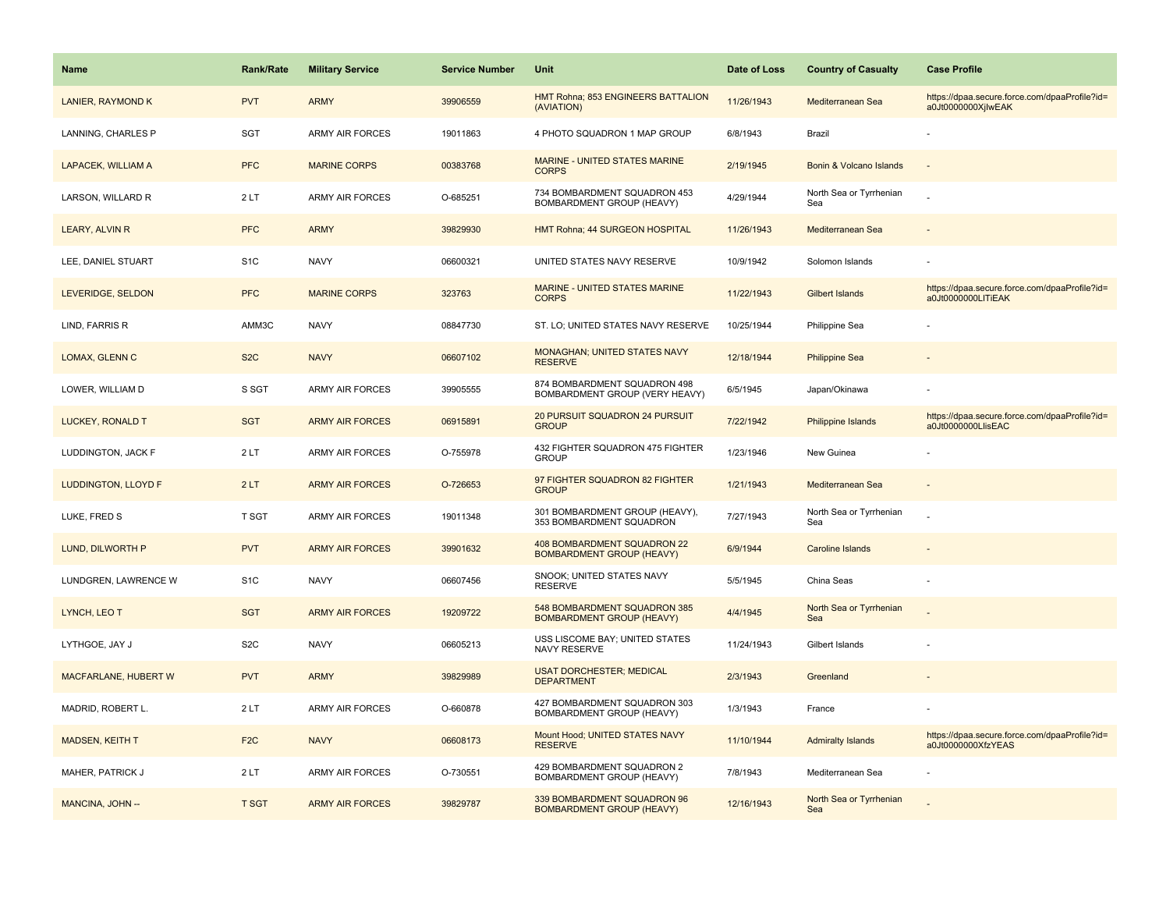| <b>Name</b>                 | <b>Rank/Rate</b> | <b>Military Service</b> | <b>Service Number</b> | Unit                                                             | Date of Loss | <b>Country of Casualty</b>     | <b>Case Profile</b>                                                 |
|-----------------------------|------------------|-------------------------|-----------------------|------------------------------------------------------------------|--------------|--------------------------------|---------------------------------------------------------------------|
| <b>LANIER, RAYMOND K</b>    | <b>PVT</b>       | <b>ARMY</b>             | 39906559              | HMT Rohna; 853 ENGINEERS BATTALION<br>(AVIATION)                 | 11/26/1943   | Mediterranean Sea              | https://dpaa.secure.force.com/dpaaProfile?id=<br>a0Jt0000000XjlwEAK |
| LANNING, CHARLES P          | SGT              | <b>ARMY AIR FORCES</b>  | 19011863              | 4 PHOTO SQUADRON 1 MAP GROUP                                     | 6/8/1943     | Brazil                         |                                                                     |
| <b>LAPACEK, WILLIAM A</b>   | <b>PFC</b>       | <b>MARINE CORPS</b>     | 00383768              | MARINE - UNITED STATES MARINE<br><b>CORPS</b>                    | 2/19/1945    | Bonin & Volcano Islands        |                                                                     |
| LARSON, WILLARD R           | 2LT              | <b>ARMY AIR FORCES</b>  | O-685251              | 734 BOMBARDMENT SQUADRON 453<br>BOMBARDMENT GROUP (HEAVY)        | 4/29/1944    | North Sea or Tyrrhenian<br>Sea |                                                                     |
| LEARY, ALVIN R              | <b>PFC</b>       | <b>ARMY</b>             | 39829930              | HMT Rohna; 44 SURGEON HOSPITAL                                   | 11/26/1943   | Mediterranean Sea              |                                                                     |
| LEE, DANIEL STUART          | S <sub>1</sub> C | <b>NAVY</b>             | 06600321              | UNITED STATES NAVY RESERVE                                       | 10/9/1942    | Solomon Islands                |                                                                     |
| LEVERIDGE, SELDON           | <b>PFC</b>       | <b>MARINE CORPS</b>     | 323763                | <b>MARINE - UNITED STATES MARINE</b><br><b>CORPS</b>             | 11/22/1943   | <b>Gilbert Islands</b>         | https://dpaa.secure.force.com/dpaaProfile?id=<br>a0Jt0000000LITiEAK |
| LIND, FARRIS R              | AMM3C            | <b>NAVY</b>             | 08847730              | ST. LO; UNITED STATES NAVY RESERVE                               | 10/25/1944   | Philippine Sea                 |                                                                     |
| <b>LOMAX, GLENN C</b>       | S <sub>2</sub> C | <b>NAVY</b>             | 06607102              | <b>MONAGHAN; UNITED STATES NAVY</b><br><b>RESERVE</b>            | 12/18/1944   | <b>Philippine Sea</b>          |                                                                     |
| LOWER, WILLIAM D            | S SGT            | <b>ARMY AIR FORCES</b>  | 39905555              | 874 BOMBARDMENT SQUADRON 498<br>BOMBARDMENT GROUP (VERY HEAVY)   | 6/5/1945     | Japan/Okinawa                  |                                                                     |
| <b>LUCKEY, RONALD T</b>     | <b>SGT</b>       | <b>ARMY AIR FORCES</b>  | 06915891              | 20 PURSUIT SQUADRON 24 PURSUIT<br><b>GROUP</b>                   | 7/22/1942    | Philippine Islands             | https://dpaa.secure.force.com/dpaaProfile?id=<br>a0Jt0000000LlisEAC |
| LUDDINGTON, JACK F          | 2LT              | <b>ARMY AIR FORCES</b>  | O-755978              | 432 FIGHTER SQUADRON 475 FIGHTER<br><b>GROUP</b>                 | 1/23/1946    | New Guinea                     |                                                                     |
| <b>LUDDINGTON, LLOYD F</b>  | 2LT              | <b>ARMY AIR FORCES</b>  | O-726653              | 97 FIGHTER SQUADRON 82 FIGHTER<br><b>GROUP</b>                   | 1/21/1943    | Mediterranean Sea              |                                                                     |
| LUKE, FRED S                | T SGT            | <b>ARMY AIR FORCES</b>  | 19011348              | 301 BOMBARDMENT GROUP (HEAVY),<br>353 BOMBARDMENT SQUADRON       | 7/27/1943    | North Sea or Tyrrhenian<br>Sea |                                                                     |
| LUND, DILWORTH P            | <b>PVT</b>       | <b>ARMY AIR FORCES</b>  | 39901632              | 408 BOMBARDMENT SQUADRON 22<br><b>BOMBARDMENT GROUP (HEAVY)</b>  | 6/9/1944     | Caroline Islands               |                                                                     |
| LUNDGREN, LAWRENCE W        | S <sub>1</sub> C | <b>NAVY</b>             | 06607456              | SNOOK; UNITED STATES NAVY<br><b>RESERVE</b>                      | 5/5/1945     | China Seas                     |                                                                     |
| LYNCH, LEO T                | <b>SGT</b>       | <b>ARMY AIR FORCES</b>  | 19209722              | 548 BOMBARDMENT SQUADRON 385<br><b>BOMBARDMENT GROUP (HEAVY)</b> | 4/4/1945     | North Sea or Tyrrhenian<br>Sea |                                                                     |
| LYTHGOE, JAY J              | S <sub>2</sub> C | <b>NAVY</b>             | 06605213              | USS LISCOME BAY; UNITED STATES<br>NAVY RESERVE                   | 11/24/1943   | Gilbert Islands                |                                                                     |
| <b>MACFARLANE, HUBERT W</b> | <b>PVT</b>       | <b>ARMY</b>             | 39829989              | <b>USAT DORCHESTER; MEDICAL</b><br><b>DEPARTMENT</b>             | 2/3/1943     | Greenland                      |                                                                     |
| MADRID, ROBERT L.           | 2LT              | ARMY AIR FORCES         | O-660878              | 427 BOMBARDMENT SQUADRON 303<br>BOMBARDMENT GROUP (HEAVY)        | 1/3/1943     | France                         |                                                                     |
| <b>MADSEN, KEITH T</b>      | F <sub>2C</sub>  | <b>NAVY</b>             | 06608173              | Mount Hood; UNITED STATES NAVY<br><b>RESERVE</b>                 | 11/10/1944   | <b>Admiralty Islands</b>       | https://dpaa.secure.force.com/dpaaProfile?id=<br>a0Jt0000000XfzYEAS |
| MAHER, PATRICK J            | 2LT              | ARMY AIR FORCES         | O-730551              | 429 BOMBARDMENT SQUADRON 2<br>BOMBARDMENT GROUP (HEAVY)          | 7/8/1943     | Mediterranean Sea              |                                                                     |
| MANCINA, JOHN --            | <b>T SGT</b>     | <b>ARMY AIR FORCES</b>  | 39829787              | 339 BOMBARDMENT SQUADRON 96<br><b>BOMBARDMENT GROUP (HEAVY)</b>  | 12/16/1943   | North Sea or Tyrrhenian<br>Sea |                                                                     |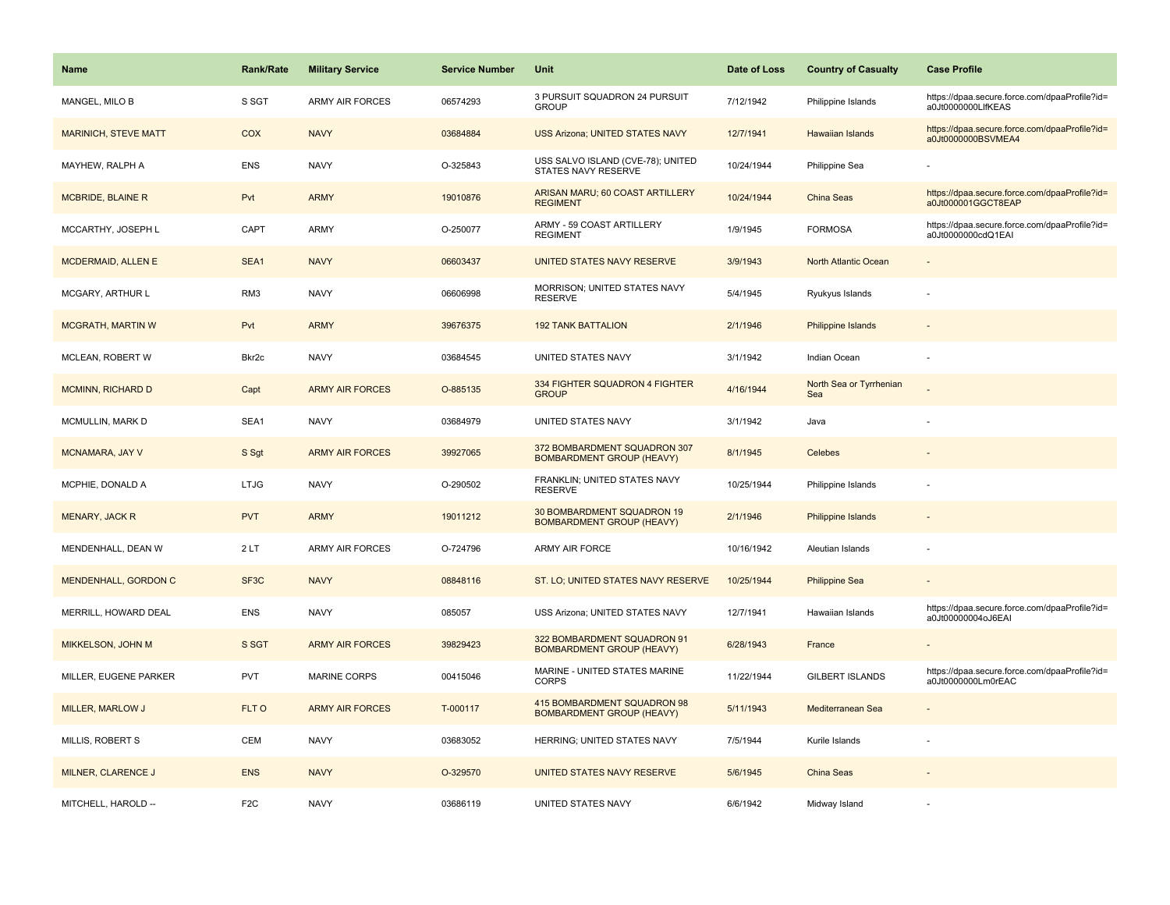| <b>Name</b>                 | <b>Rank/Rate</b>  | <b>Military Service</b> | <b>Service Number</b> | Unit                                                             | Date of Loss | <b>Country of Casualty</b>     | <b>Case Profile</b>                                                 |
|-----------------------------|-------------------|-------------------------|-----------------------|------------------------------------------------------------------|--------------|--------------------------------|---------------------------------------------------------------------|
| MANGEL, MILO B              | S SGT             | <b>ARMY AIR FORCES</b>  | 06574293              | 3 PURSUIT SQUADRON 24 PURSUIT<br><b>GROUP</b>                    | 7/12/1942    | Philippine Islands             | https://dpaa.secure.force.com/dpaaProfile?id=<br>a0Jt0000000LlfKEAS |
| <b>MARINICH, STEVE MATT</b> | COX               | <b>NAVY</b>             | 03684884              | <b>USS Arizona; UNITED STATES NAVY</b>                           | 12/7/1941    | <b>Hawaiian Islands</b>        | https://dpaa.secure.force.com/dpaaProfile?id=<br>a0Jt0000000BSVMEA4 |
| MAYHEW, RALPH A             | <b>ENS</b>        | <b>NAVY</b>             | O-325843              | USS SALVO ISLAND (CVE-78); UNITED<br>STATES NAVY RESERVE         | 10/24/1944   | Philippine Sea                 |                                                                     |
| <b>MCBRIDE, BLAINE R</b>    | Pvt               | <b>ARMY</b>             | 19010876              | ARISAN MARU; 60 COAST ARTILLERY<br><b>REGIMENT</b>               | 10/24/1944   | China Seas                     | https://dpaa.secure.force.com/dpaaProfile?id=<br>a0Jt000001GGCT8EAP |
| MCCARTHY, JOSEPH L          | CAPT              | <b>ARMY</b>             | O-250077              | ARMY - 59 COAST ARTILLERY<br><b>REGIMENT</b>                     | 1/9/1945     | <b>FORMOSA</b>                 | https://dpaa.secure.force.com/dpaaProfile?id=<br>a0Jt0000000cdQ1EAI |
| <b>MCDERMAID, ALLEN E</b>   | SEA1              | <b>NAVY</b>             | 06603437              | UNITED STATES NAVY RESERVE                                       | 3/9/1943     | North Atlantic Ocean           |                                                                     |
| MCGARY, ARTHUR L            | RM3               | <b>NAVY</b>             | 06606998              | MORRISON; UNITED STATES NAVY<br><b>RESERVE</b>                   | 5/4/1945     | Ryukyus Islands                |                                                                     |
| <b>MCGRATH, MARTIN W</b>    | Pvt               | <b>ARMY</b>             | 39676375              | <b>192 TANK BATTALION</b>                                        | 2/1/1946     | Philippine Islands             |                                                                     |
| MCLEAN, ROBERT W            | Bkr2c             | <b>NAVY</b>             | 03684545              | UNITED STATES NAVY                                               | 3/1/1942     | Indian Ocean                   |                                                                     |
| <b>MCMINN, RICHARD D</b>    | Capt              | <b>ARMY AIR FORCES</b>  | O-885135              | 334 FIGHTER SQUADRON 4 FIGHTER<br><b>GROUP</b>                   | 4/16/1944    | North Sea or Tyrrhenian<br>Sea |                                                                     |
| MCMULLIN, MARK D            | SEA1              | <b>NAVY</b>             | 03684979              | UNITED STATES NAVY                                               | 3/1/1942     | Java                           |                                                                     |
| MCNAMARA, JAY V             | S Sgt             | <b>ARMY AIR FORCES</b>  | 39927065              | 372 BOMBARDMENT SQUADRON 307<br><b>BOMBARDMENT GROUP (HEAVY)</b> | 8/1/1945     | Celebes                        |                                                                     |
| MCPHIE, DONALD A            | <b>LTJG</b>       | <b>NAVY</b>             | O-290502              | FRANKLIN; UNITED STATES NAVY<br><b>RESERVE</b>                   | 10/25/1944   | Philippine Islands             |                                                                     |
| MENARY, JACK R              | <b>PVT</b>        | <b>ARMY</b>             | 19011212              | 30 BOMBARDMENT SQUADRON 19<br><b>BOMBARDMENT GROUP (HEAVY)</b>   | 2/1/1946     | <b>Philippine Islands</b>      |                                                                     |
| MENDENHALL, DEAN W          | 2LT               | <b>ARMY AIR FORCES</b>  | O-724796              | ARMY AIR FORCE                                                   | 10/16/1942   | Aleutian Islands               |                                                                     |
| <b>MENDENHALL, GORDON C</b> | SF <sub>3</sub> C | <b>NAVY</b>             | 08848116              | ST. LO; UNITED STATES NAVY RESERVE                               | 10/25/1944   | <b>Philippine Sea</b>          |                                                                     |
| MERRILL, HOWARD DEAL        | <b>ENS</b>        | <b>NAVY</b>             | 085057                | USS Arizona; UNITED STATES NAVY                                  | 12/7/1941    | Hawaiian Islands               | https://dpaa.secure.force.com/dpaaProfile?id=<br>a0Jt00000004oJ6EAI |
| MIKKELSON, JOHN M           | S SGT             | <b>ARMY AIR FORCES</b>  | 39829423              | 322 BOMBARDMENT SQUADRON 91<br><b>BOMBARDMENT GROUP (HEAVY)</b>  | 6/28/1943    | France                         |                                                                     |
| MILLER, EUGENE PARKER       | <b>PVT</b>        | <b>MARINE CORPS</b>     | 00415046              | MARINE - UNITED STATES MARINE<br><b>CORPS</b>                    | 11/22/1944   | <b>GILBERT ISLANDS</b>         | https://dpaa.secure.force.com/dpaaProfile?id=<br>a0Jt0000000Lm0rEAC |
| MILLER, MARLOW J            | FLT O             | <b>ARMY AIR FORCES</b>  | T-000117              | 415 BOMBARDMENT SQUADRON 98<br><b>BOMBARDMENT GROUP (HEAVY)</b>  | 5/11/1943    | Mediterranean Sea              |                                                                     |
| MILLIS, ROBERT S            | <b>CEM</b>        | <b>NAVY</b>             | 03683052              | HERRING; UNITED STATES NAVY                                      | 7/5/1944     | Kurile Islands                 |                                                                     |
| MILNER, CLARENCE J          | <b>ENS</b>        | <b>NAVY</b>             | O-329570              | UNITED STATES NAVY RESERVE                                       | 5/6/1945     | China Seas                     |                                                                     |
| MITCHELL, HAROLD --         | F <sub>2</sub> C  | <b>NAVY</b>             | 03686119              | UNITED STATES NAVY                                               | 6/6/1942     | Midway Island                  |                                                                     |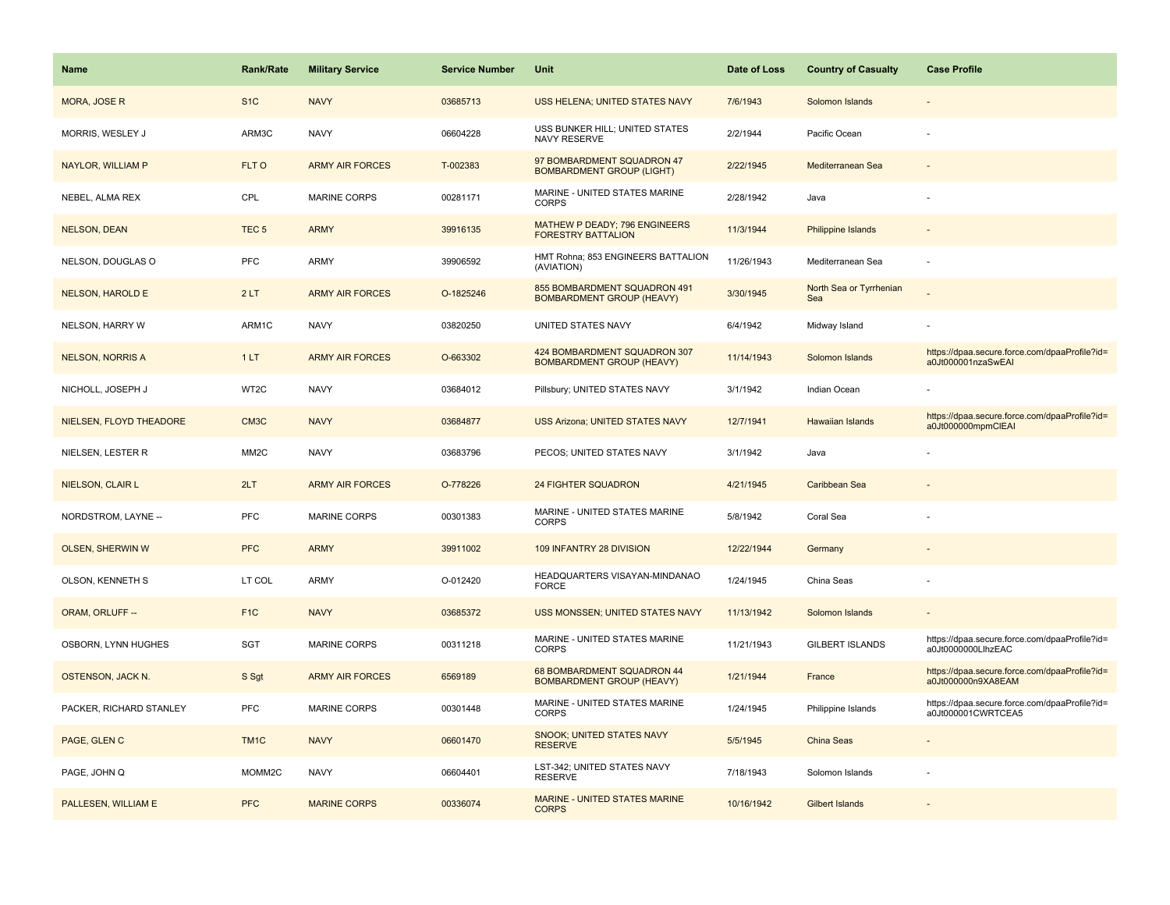| Name                     | <b>Rank/Rate</b>   | <b>Military Service</b> | <b>Service Number</b> | Unit                                                              | Date of Loss | <b>Country of Casualty</b>     | <b>Case Profile</b>                                                 |
|--------------------------|--------------------|-------------------------|-----------------------|-------------------------------------------------------------------|--------------|--------------------------------|---------------------------------------------------------------------|
| <b>MORA, JOSE R</b>      | S <sub>1</sub> C   | <b>NAVY</b>             | 03685713              | USS HELENA; UNITED STATES NAVY                                    | 7/6/1943     | Solomon Islands                |                                                                     |
| MORRIS, WESLEY J         | ARM3C              | <b>NAVY</b>             | 06604228              | USS BUNKER HILL; UNITED STATES<br>NAVY RESERVE                    | 2/2/1944     | Pacific Ocean                  |                                                                     |
| <b>NAYLOR, WILLIAM P</b> | FLT O              | <b>ARMY AIR FORCES</b>  | T-002383              | 97 BOMBARDMENT SQUADRON 47<br><b>BOMBARDMENT GROUP (LIGHT)</b>    | 2/22/1945    | Mediterranean Sea              |                                                                     |
| NEBEL, ALMA REX          | CPL                | <b>MARINE CORPS</b>     | 00281171              | MARINE - UNITED STATES MARINE<br><b>CORPS</b>                     | 2/28/1942    | Java                           |                                                                     |
| <b>NELSON, DEAN</b>      | TEC <sub>5</sub>   | <b>ARMY</b>             | 39916135              | <b>MATHEW P DEADY; 796 ENGINEERS</b><br><b>FORESTRY BATTALION</b> | 11/3/1944    | Philippine Islands             |                                                                     |
| NELSON, DOUGLAS O        | <b>PFC</b>         | ARMY                    | 39906592              | HMT Rohna; 853 ENGINEERS BATTALION<br>(AVIATION)                  | 11/26/1943   | Mediterranean Sea              |                                                                     |
| <b>NELSON, HAROLD E</b>  | 2LT                | <b>ARMY AIR FORCES</b>  | O-1825246             | 855 BOMBARDMENT SQUADRON 491<br><b>BOMBARDMENT GROUP (HEAVY)</b>  | 3/30/1945    | North Sea or Tyrrhenian<br>Sea |                                                                     |
| NELSON, HARRY W          | ARM1C              | <b>NAVY</b>             | 03820250              | UNITED STATES NAVY                                                | 6/4/1942     | Midway Island                  |                                                                     |
| <b>NELSON, NORRIS A</b>  | 1LT                | <b>ARMY AIR FORCES</b>  | O-663302              | 424 BOMBARDMENT SQUADRON 307<br><b>BOMBARDMENT GROUP (HEAVY)</b>  | 11/14/1943   | Solomon Islands                | https://dpaa.secure.force.com/dpaaProfile?id=<br>a0Jt000001nzaSwEAI |
| NICHOLL, JOSEPH J        | WT2C               | <b>NAVY</b>             | 03684012              | Pillsbury; UNITED STATES NAVY                                     | 3/1/1942     | Indian Ocean                   |                                                                     |
| NIELSEN, FLOYD THEADORE  | CM <sub>3</sub> C  | <b>NAVY</b>             | 03684877              | <b>USS Arizona; UNITED STATES NAVY</b>                            | 12/7/1941    | <b>Hawaiian Islands</b>        | https://dpaa.secure.force.com/dpaaProfile?id=<br>a0Jt000000mpmCIEAI |
| NIELSEN, LESTER R        | MM <sub>2</sub> C  | <b>NAVY</b>             | 03683796              | PECOS; UNITED STATES NAVY                                         | 3/1/1942     | Java                           |                                                                     |
| NIELSON, CLAIR L         | 2LT                | <b>ARMY AIR FORCES</b>  | O-778226              | <b>24 FIGHTER SQUADRON</b>                                        | 4/21/1945    | Caribbean Sea                  |                                                                     |
| NORDSTROM, LAYNE --      | <b>PFC</b>         | <b>MARINE CORPS</b>     | 00301383              | MARINE - UNITED STATES MARINE<br>CORPS                            | 5/8/1942     | Coral Sea                      |                                                                     |
| <b>OLSEN, SHERWIN W</b>  | <b>PFC</b>         | <b>ARMY</b>             | 39911002              | 109 INFANTRY 28 DIVISION                                          | 12/22/1944   | Germany                        |                                                                     |
| OLSON, KENNETH S         | LT COL             | ARMY                    | O-012420              | HEADQUARTERS VISAYAN-MINDANAO<br><b>FORCE</b>                     | 1/24/1945    | China Seas                     |                                                                     |
| ORAM, ORLUFF --          | F <sub>1C</sub>    | <b>NAVY</b>             | 03685372              | USS MONSSEN; UNITED STATES NAVY                                   | 11/13/1942   | Solomon Islands                |                                                                     |
| OSBORN, LYNN HUGHES      | SGT                | MARINE CORPS            | 00311218              | MARINE - UNITED STATES MARINE<br><b>CORPS</b>                     | 11/21/1943   | <b>GILBERT ISLANDS</b>         | https://dpaa.secure.force.com/dpaaProfile?id=<br>a0Jt0000000LlhzEAC |
| <b>OSTENSON, JACK N.</b> | S Sgt              | <b>ARMY AIR FORCES</b>  | 6569189               | 68 BOMBARDMENT SQUADRON 44<br><b>BOMBARDMENT GROUP (HEAVY)</b>    | 1/21/1944    | France                         | https://dpaa.secure.force.com/dpaaProfile?id=<br>a0Jt000000n9XA8EAM |
| PACKER, RICHARD STANLEY  | <b>PFC</b>         | <b>MARINE CORPS</b>     | 00301448              | MARINE - UNITED STATES MARINE<br><b>CORPS</b>                     | 1/24/1945    | Philippine Islands             | https://dpaa.secure.force.com/dpaaProfile?id=<br>a0Jt000001CWRTCEA5 |
| PAGE, GLEN C             | TM <sub>1</sub> C  | <b>NAVY</b>             | 06601470              | <b>SNOOK: UNITED STATES NAVY</b><br><b>RESERVE</b>                | 5/5/1945     | China Seas                     |                                                                     |
| PAGE, JOHN Q             | MOMM <sub>2C</sub> | <b>NAVY</b>             | 06604401              | LST-342; UNITED STATES NAVY<br><b>RESERVE</b>                     | 7/18/1943    | Solomon Islands                |                                                                     |
| PALLESEN, WILLIAM E      | <b>PFC</b>         | <b>MARINE CORPS</b>     | 00336074              | MARINE - UNITED STATES MARINE<br><b>CORPS</b>                     | 10/16/1942   | <b>Gilbert Islands</b>         |                                                                     |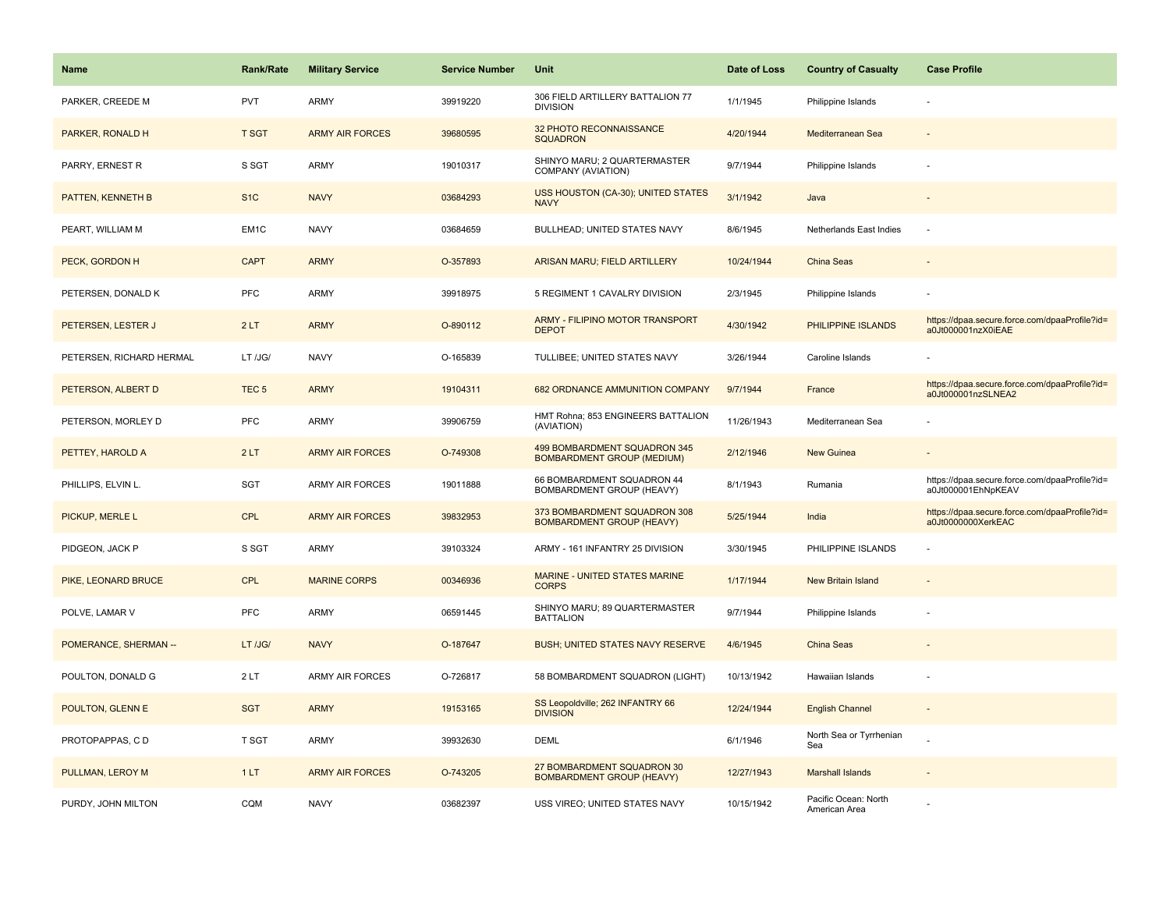| Name                     | <b>Rank/Rate</b>  | <b>Military Service</b> | <b>Service Number</b> | Unit                                                              | Date of Loss | <b>Country of Casualty</b>            | <b>Case Profile</b>                                                 |
|--------------------------|-------------------|-------------------------|-----------------------|-------------------------------------------------------------------|--------------|---------------------------------------|---------------------------------------------------------------------|
| PARKER, CREEDE M         | <b>PVT</b>        | ARMY                    | 39919220              | 306 FIELD ARTILLERY BATTALION 77<br><b>DIVISION</b>               | 1/1/1945     | Philippine Islands                    |                                                                     |
| PARKER, RONALD H         | <b>T SGT</b>      | <b>ARMY AIR FORCES</b>  | 39680595              | 32 PHOTO RECONNAISSANCE<br><b>SQUADRON</b>                        | 4/20/1944    | Mediterranean Sea                     |                                                                     |
| PARRY, ERNEST R          | S SGT             | ARMY                    | 19010317              | SHINYO MARU; 2 QUARTERMASTER<br>COMPANY (AVIATION)                | 9/7/1944     | Philippine Islands                    |                                                                     |
| <b>PATTEN, KENNETH B</b> | S <sub>1</sub> C  | <b>NAVY</b>             | 03684293              | USS HOUSTON (CA-30); UNITED STATES<br><b>NAVY</b>                 | 3/1/1942     | Java                                  |                                                                     |
| PEART, WILLIAM M         | EM <sub>1</sub> C | <b>NAVY</b>             | 03684659              | BULLHEAD; UNITED STATES NAVY                                      | 8/6/1945     | Netherlands East Indies               |                                                                     |
| PECK, GORDON H           | <b>CAPT</b>       | <b>ARMY</b>             | O-357893              | ARISAN MARU; FIELD ARTILLERY                                      | 10/24/1944   | China Seas                            |                                                                     |
| PETERSEN, DONALD K       | PFC               | ARMY                    | 39918975              | 5 REGIMENT 1 CAVALRY DIVISION                                     | 2/3/1945     | Philippine Islands                    |                                                                     |
| PETERSEN, LESTER J       | 2LT               | <b>ARMY</b>             | O-890112              | ARMY - FILIPINO MOTOR TRANSPORT<br><b>DEPOT</b>                   | 4/30/1942    | PHILIPPINE ISLANDS                    | https://dpaa.secure.force.com/dpaaProfile?id=<br>a0Jt000001nzX0iEAE |
| PETERSEN, RICHARD HERMAL | LT /JG/           | <b>NAVY</b>             | O-165839              | TULLIBEE; UNITED STATES NAVY                                      | 3/26/1944    | Caroline Islands                      |                                                                     |
| PETERSON, ALBERT D       | TEC <sub>5</sub>  | <b>ARMY</b>             | 19104311              | 682 ORDNANCE AMMUNITION COMPANY                                   | 9/7/1944     | France                                | https://dpaa.secure.force.com/dpaaProfile?id=<br>a0Jt000001nzSLNEA2 |
| PETERSON, MORLEY D       | PFC               | ARMY                    | 39906759              | HMT Rohna; 853 ENGINEERS BATTALION<br>(AVIATION)                  | 11/26/1943   | Mediterranean Sea                     |                                                                     |
| PETTEY, HAROLD A         | 2LT               | <b>ARMY AIR FORCES</b>  | O-749308              | 499 BOMBARDMENT SQUADRON 345<br><b>BOMBARDMENT GROUP (MEDIUM)</b> | 2/12/1946    | <b>New Guinea</b>                     |                                                                     |
| PHILLIPS, ELVIN L.       | SGT               | <b>ARMY AIR FORCES</b>  | 19011888              | 66 BOMBARDMENT SQUADRON 44<br>BOMBARDMENT GROUP (HEAVY)           | 8/1/1943     | Rumania                               | https://dpaa.secure.force.com/dpaaProfile?id=<br>a0Jt000001EhNpKEAV |
| PICKUP, MERLE L          | <b>CPL</b>        | <b>ARMY AIR FORCES</b>  | 39832953              | 373 BOMBARDMENT SQUADRON 308<br><b>BOMBARDMENT GROUP (HEAVY)</b>  | 5/25/1944    | India                                 | https://dpaa.secure.force.com/dpaaProfile?id=<br>a0Jt0000000XerkEAC |
| PIDGEON, JACK P          | S SGT             | <b>ARMY</b>             | 39103324              | ARMY - 161 INFANTRY 25 DIVISION                                   | 3/30/1945    | PHILIPPINE ISLANDS                    |                                                                     |
| PIKE, LEONARD BRUCE      | <b>CPL</b>        | <b>MARINE CORPS</b>     | 00346936              | <b>MARINE - UNITED STATES MARINE</b><br><b>CORPS</b>              | 1/17/1944    | <b>New Britain Island</b>             |                                                                     |
| POLVE, LAMAR V           | PFC               | ARMY                    | 06591445              | SHINYO MARU; 89 QUARTERMASTER<br><b>BATTALION</b>                 | 9/7/1944     | Philippine Islands                    |                                                                     |
| POMERANCE, SHERMAN --    | LT /JG/           | <b>NAVY</b>             | O-187647              | <b>BUSH; UNITED STATES NAVY RESERVE</b>                           | 4/6/1945     | China Seas                            |                                                                     |
| POULTON, DONALD G        | 2LT               | <b>ARMY AIR FORCES</b>  | O-726817              | 58 BOMBARDMENT SQUADRON (LIGHT)                                   | 10/13/1942   | Hawaiian Islands                      |                                                                     |
| POULTON, GLENN E         | <b>SGT</b>        | <b>ARMY</b>             | 19153165              | SS Leopoldville; 262 INFANTRY 66<br><b>DIVISION</b>               | 12/24/1944   | <b>English Channel</b>                |                                                                     |
| PROTOPAPPAS, CD          | T SGT             | ARMY                    | 39932630              | <b>DEML</b>                                                       | 6/1/1946     | North Sea or Tyrrhenian<br>Sea        |                                                                     |
| PULLMAN, LEROY M         | 1LT               | <b>ARMY AIR FORCES</b>  | O-743205              | 27 BOMBARDMENT SQUADRON 30<br><b>BOMBARDMENT GROUP (HEAVY)</b>    | 12/27/1943   | <b>Marshall Islands</b>               |                                                                     |
| PURDY, JOHN MILTON       | CQM               | <b>NAVY</b>             | 03682397              | USS VIREO; UNITED STATES NAVY                                     | 10/15/1942   | Pacific Ocean: North<br>American Area |                                                                     |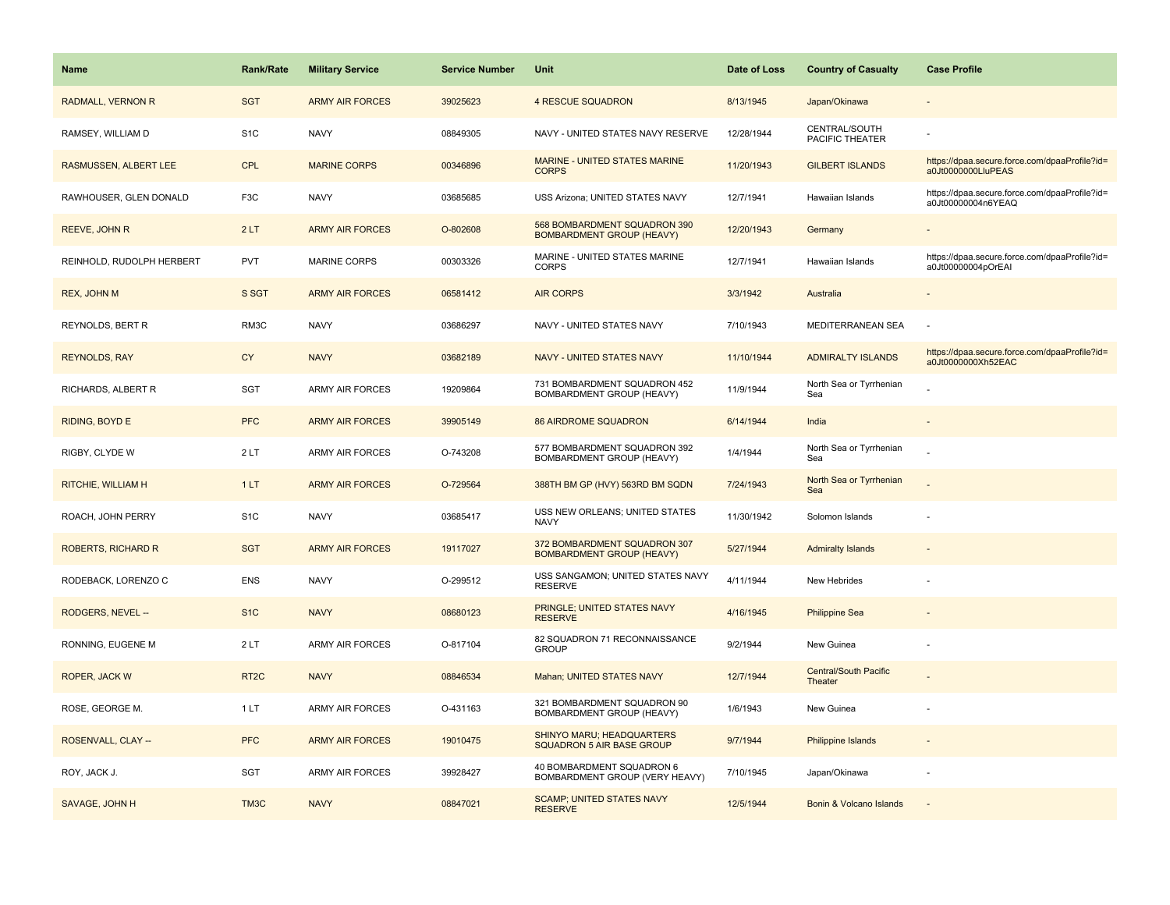| <b>Name</b>               | <b>Rank/Rate</b>  | <b>Military Service</b> | <b>Service Number</b> | Unit                                                                 | Date of Loss | <b>Country of Casualty</b>              | <b>Case Profile</b>                                                 |
|---------------------------|-------------------|-------------------------|-----------------------|----------------------------------------------------------------------|--------------|-----------------------------------------|---------------------------------------------------------------------|
| RADMALL, VERNON R         | <b>SGT</b>        | <b>ARMY AIR FORCES</b>  | 39025623              | <b>4 RESCUE SQUADRON</b>                                             | 8/13/1945    | Japan/Okinawa                           |                                                                     |
| RAMSEY, WILLIAM D         | S <sub>1C</sub>   | <b>NAVY</b>             | 08849305              | NAVY - UNITED STATES NAVY RESERVE                                    | 12/28/1944   | CENTRAL/SOUTH<br><b>PACIFIC THEATER</b> |                                                                     |
| RASMUSSEN, ALBERT LEE     | CPL               | <b>MARINE CORPS</b>     | 00346896              | MARINE - UNITED STATES MARINE<br><b>CORPS</b>                        | 11/20/1943   | <b>GILBERT ISLANDS</b>                  | https://dpaa.secure.force.com/dpaaProfile?id=<br>a0Jt0000000LluPEAS |
| RAWHOUSER, GLEN DONALD    | F <sub>3</sub> C  | <b>NAVY</b>             | 03685685              | USS Arizona; UNITED STATES NAVY                                      | 12/7/1941    | Hawaiian Islands                        | https://dpaa.secure.force.com/dpaaProfile?id=<br>a0Jt00000004n6YEAQ |
| REEVE, JOHN R             | 2LT               | <b>ARMY AIR FORCES</b>  | O-802608              | 568 BOMBARDMENT SQUADRON 390<br><b>BOMBARDMENT GROUP (HEAVY)</b>     | 12/20/1943   | Germany                                 |                                                                     |
| REINHOLD, RUDOLPH HERBERT | <b>PVT</b>        | <b>MARINE CORPS</b>     | 00303326              | MARINE - UNITED STATES MARINE<br><b>CORPS</b>                        | 12/7/1941    | Hawaiian Islands                        | https://dpaa.secure.force.com/dpaaProfile?id=<br>a0Jt00000004pOrEAI |
| REX, JOHN M               | S SGT             | <b>ARMY AIR FORCES</b>  | 06581412              | <b>AIR CORPS</b>                                                     | 3/3/1942     | Australia                               |                                                                     |
| REYNOLDS, BERT R          | RM3C              | <b>NAVY</b>             | 03686297              | NAVY - UNITED STATES NAVY                                            | 7/10/1943    | MEDITERRANEAN SEA                       |                                                                     |
| <b>REYNOLDS, RAY</b>      | <b>CY</b>         | <b>NAVY</b>             | 03682189              | <b>NAVY - UNITED STATES NAVY</b>                                     | 11/10/1944   | <b>ADMIRALTY ISLANDS</b>                | https://dpaa.secure.force.com/dpaaProfile?id=<br>a0Jt0000000Xh52EAC |
| RICHARDS, ALBERT R        | SGT               | <b>ARMY AIR FORCES</b>  | 19209864              | 731 BOMBARDMENT SQUADRON 452<br>BOMBARDMENT GROUP (HEAVY)            | 11/9/1944    | North Sea or Tyrrhenian<br>Sea          |                                                                     |
| RIDING, BOYD E            | <b>PFC</b>        | <b>ARMY AIR FORCES</b>  | 39905149              | <b>86 AIRDROME SQUADRON</b>                                          | 6/14/1944    | India                                   |                                                                     |
| RIGBY, CLYDE W            | 2LT               | ARMY AIR FORCES         | O-743208              | 577 BOMBARDMENT SQUADRON 392<br>BOMBARDMENT GROUP (HEAVY)            | 1/4/1944     | North Sea or Tyrrhenian<br>Sea          |                                                                     |
| <b>RITCHIE, WILLIAM H</b> | 1LT               | <b>ARMY AIR FORCES</b>  | O-729564              | 388TH BM GP (HVY) 563RD BM SQDN                                      | 7/24/1943    | North Sea or Tyrrhenian<br>Sea          |                                                                     |
| ROACH, JOHN PERRY         | S <sub>1</sub> C  | <b>NAVY</b>             | 03685417              | USS NEW ORLEANS; UNITED STATES<br><b>NAVY</b>                        | 11/30/1942   | Solomon Islands                         |                                                                     |
| ROBERTS, RICHARD R        | <b>SGT</b>        | <b>ARMY AIR FORCES</b>  | 19117027              | 372 BOMBARDMENT SQUADRON 307<br><b>BOMBARDMENT GROUP (HEAVY)</b>     | 5/27/1944    | <b>Admiralty Islands</b>                |                                                                     |
| RODEBACK, LORENZO C       | <b>ENS</b>        | <b>NAVY</b>             | O-299512              | USS SANGAMON; UNITED STATES NAVY<br><b>RESERVE</b>                   | 4/11/1944    | New Hebrides                            |                                                                     |
| RODGERS, NEVEL --         | S <sub>1</sub> C  | <b>NAVY</b>             | 08680123              | PRINGLE; UNITED STATES NAVY<br><b>RESERVE</b>                        | 4/16/1945    | <b>Philippine Sea</b>                   |                                                                     |
| RONNING, EUGENE M         | 2LT               | <b>ARMY AIR FORCES</b>  | O-817104              | 82 SQUADRON 71 RECONNAISSANCE<br><b>GROUP</b>                        | 9/2/1944     | New Guinea                              |                                                                     |
| ROPER, JACK W             | RT <sub>2</sub> C | <b>NAVY</b>             | 08846534              | Mahan; UNITED STATES NAVY                                            | 12/7/1944    | <b>Central/South Pacific</b><br>Theater |                                                                     |
| ROSE, GEORGE M.           | 1LT               | <b>ARMY AIR FORCES</b>  | O-431163              | 321 BOMBARDMENT SQUADRON 90<br>BOMBARDMENT GROUP (HEAVY)             | 1/6/1943     | New Guinea                              |                                                                     |
| ROSENVALL, CLAY --        | <b>PFC</b>        | <b>ARMY AIR FORCES</b>  | 19010475              | <b>SHINYO MARU: HEADQUARTERS</b><br><b>SQUADRON 5 AIR BASE GROUP</b> | 9/7/1944     | Philippine Islands                      |                                                                     |
| ROY, JACK J.              | <b>SGT</b>        | <b>ARMY AIR FORCES</b>  | 39928427              | 40 BOMBARDMENT SQUADRON 6<br>BOMBARDMENT GROUP (VERY HEAVY)          | 7/10/1945    | Japan/Okinawa                           |                                                                     |
| SAVAGE, JOHN H            | TM3C              | <b>NAVY</b>             | 08847021              | <b>SCAMP; UNITED STATES NAVY</b><br><b>RESERVE</b>                   | 12/5/1944    | Bonin & Volcano Islands                 |                                                                     |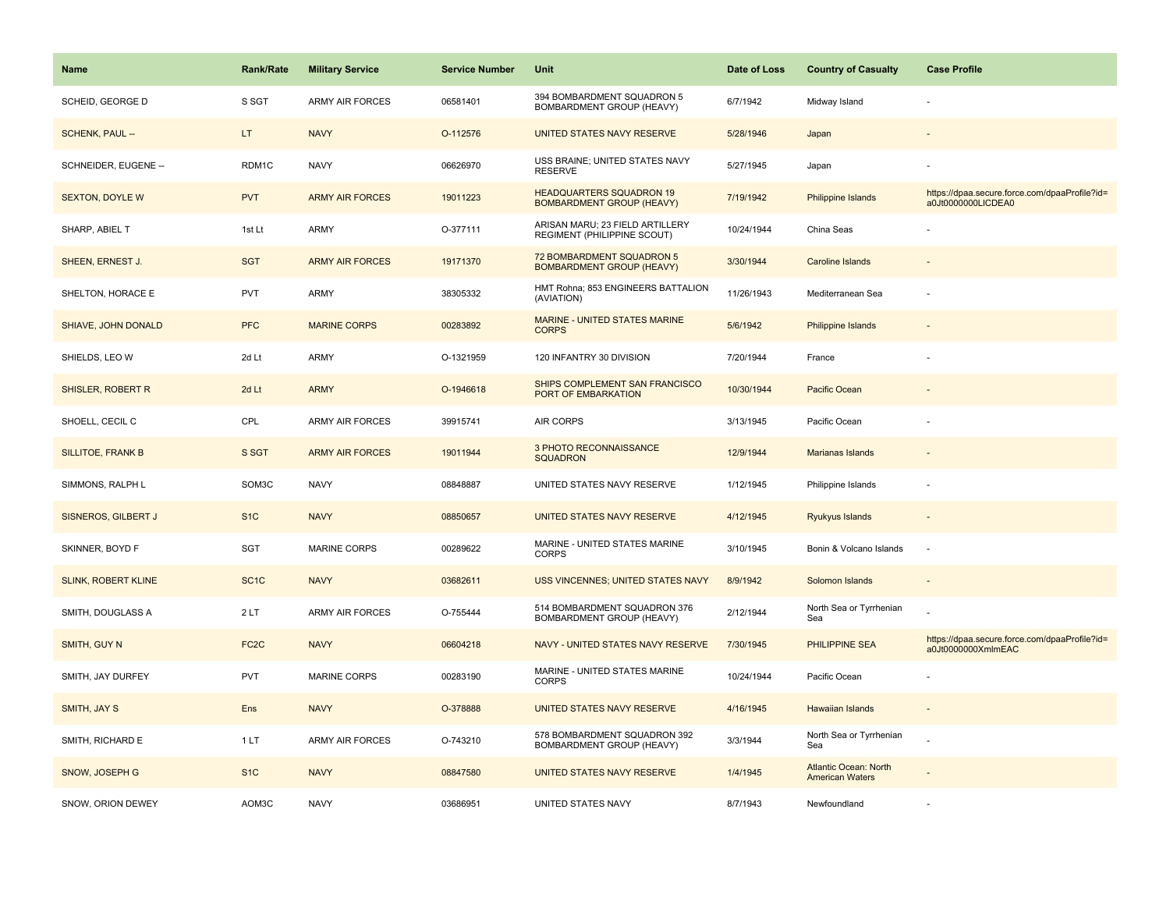| <b>Name</b>                | Rank/Rate         | <b>Military Service</b> | <b>Service Number</b> | Unit                                                                | Date of Loss | <b>Country of Casualty</b>                             | <b>Case Profile</b>                                                 |
|----------------------------|-------------------|-------------------------|-----------------------|---------------------------------------------------------------------|--------------|--------------------------------------------------------|---------------------------------------------------------------------|
| SCHEID, GEORGE D           | S SGT             | <b>ARMY AIR FORCES</b>  | 06581401              | 394 BOMBARDMENT SQUADRON 5<br><b>BOMBARDMENT GROUP (HEAVY)</b>      | 6/7/1942     | Midway Island                                          |                                                                     |
| SCHENK, PAUL --            | LT.               | <b>NAVY</b>             | O-112576              | UNITED STATES NAVY RESERVE                                          | 5/28/1946    | Japan                                                  |                                                                     |
| SCHNEIDER, EUGENE --       | RDM1C             | <b>NAVY</b>             | 06626970              | USS BRAINE; UNITED STATES NAVY<br><b>RESERVE</b>                    | 5/27/1945    | Japan                                                  |                                                                     |
| <b>SEXTON, DOYLE W</b>     | <b>PVT</b>        | <b>ARMY AIR FORCES</b>  | 19011223              | <b>HEADQUARTERS SQUADRON 19</b><br><b>BOMBARDMENT GROUP (HEAVY)</b> | 7/19/1942    | Philippine Islands                                     | https://dpaa.secure.force.com/dpaaProfile?id=<br>a0Jt0000000LICDEA0 |
| SHARP, ABIEL T             | 1st Lt            | <b>ARMY</b>             | O-377111              | ARISAN MARU; 23 FIELD ARTILLERY<br>REGIMENT (PHILIPPINE SCOUT)      | 10/24/1944   | China Seas                                             |                                                                     |
| SHEEN, ERNEST J.           | <b>SGT</b>        | <b>ARMY AIR FORCES</b>  | 19171370              | 72 BOMBARDMENT SQUADRON 5<br><b>BOMBARDMENT GROUP (HEAVY)</b>       | 3/30/1944    | <b>Caroline Islands</b>                                |                                                                     |
| SHELTON, HORACE E          | PVT               | ARMY                    | 38305332              | HMT Rohna; 853 ENGINEERS BATTALION<br>(AVIATION)                    | 11/26/1943   | Mediterranean Sea                                      |                                                                     |
| SHIAVE, JOHN DONALD        | <b>PFC</b>        | <b>MARINE CORPS</b>     | 00283892              | MARINE - UNITED STATES MARINE<br><b>CORPS</b>                       | 5/6/1942     | <b>Philippine Islands</b>                              |                                                                     |
| SHIELDS, LEO W             | 2d Lt             | <b>ARMY</b>             | O-1321959             | 120 INFANTRY 30 DIVISION                                            | 7/20/1944    | France                                                 |                                                                     |
| SHISLER, ROBERT R          | 2d Lt             | <b>ARMY</b>             | O-1946618             | SHIPS COMPLEMENT SAN FRANCISCO<br>PORT OF EMBARKATION               | 10/30/1944   | Pacific Ocean                                          |                                                                     |
| SHOELL, CECIL C            | CPL               | <b>ARMY AIR FORCES</b>  | 39915741              | <b>AIR CORPS</b>                                                    | 3/13/1945    | Pacific Ocean                                          |                                                                     |
| SILLITOE, FRANK B          | S SGT             | <b>ARMY AIR FORCES</b>  | 19011944              | 3 PHOTO RECONNAISSANCE<br><b>SQUADRON</b>                           | 12/9/1944    | Marianas Islands                                       |                                                                     |
| SIMMONS, RALPH L           | SOM3C             | <b>NAVY</b>             | 08848887              | UNITED STATES NAVY RESERVE                                          | 1/12/1945    | Philippine Islands                                     |                                                                     |
| SISNEROS, GILBERT J        | S <sub>1</sub> C  | <b>NAVY</b>             | 08850657              | UNITED STATES NAVY RESERVE                                          | 4/12/1945    | Ryukyus Islands                                        |                                                                     |
| SKINNER, BOYD F            | SGT               | MARINE CORPS            | 00289622              | MARINE - UNITED STATES MARINE<br><b>CORPS</b>                       | 3/10/1945    | Bonin & Volcano Islands                                | $\sim$                                                              |
| <b>SLINK, ROBERT KLINE</b> | SC <sub>1</sub> C | <b>NAVY</b>             | 03682611              | <b>USS VINCENNES; UNITED STATES NAVY</b>                            | 8/9/1942     | Solomon Islands                                        |                                                                     |
| SMITH, DOUGLASS A          | 2LT               | <b>ARMY AIR FORCES</b>  | O-755444              | 514 BOMBARDMENT SQUADRON 376<br>BOMBARDMENT GROUP (HEAVY)           | 2/12/1944    | North Sea or Tyrrhenian<br>Sea                         |                                                                     |
| SMITH, GUY N               | FC <sub>2</sub> C | <b>NAVY</b>             | 06604218              | NAVY - UNITED STATES NAVY RESERVE                                   | 7/30/1945    | <b>PHILIPPINE SEA</b>                                  | https://dpaa.secure.force.com/dpaaProfile?id=<br>a0Jt0000000XmlmEAC |
| SMITH, JAY DURFEY          | <b>PVT</b>        | <b>MARINE CORPS</b>     | 00283190              | MARINE - UNITED STATES MARINE<br><b>CORPS</b>                       | 10/24/1944   | Pacific Ocean                                          |                                                                     |
| SMITH, JAY S               | Ens               | <b>NAVY</b>             | O-378888              | UNITED STATES NAVY RESERVE                                          | 4/16/1945    | Hawaiian Islands                                       | $\sim$                                                              |
| SMITH, RICHARD E           | 1LT               | <b>ARMY AIR FORCES</b>  | O-743210              | 578 BOMBARDMENT SQUADRON 392<br>BOMBARDMENT GROUP (HEAVY)           | 3/3/1944     | North Sea or Tyrrhenian<br>Sea                         |                                                                     |
| SNOW, JOSEPH G             | S <sub>1</sub> C  | <b>NAVY</b>             | 08847580              | UNITED STATES NAVY RESERVE                                          | 1/4/1945     | <b>Atlantic Ocean: North</b><br><b>American Waters</b> |                                                                     |
| SNOW, ORION DEWEY          | AOM3C             | <b>NAVY</b>             | 03686951              | UNITED STATES NAVY                                                  | 8/7/1943     | Newfoundland                                           |                                                                     |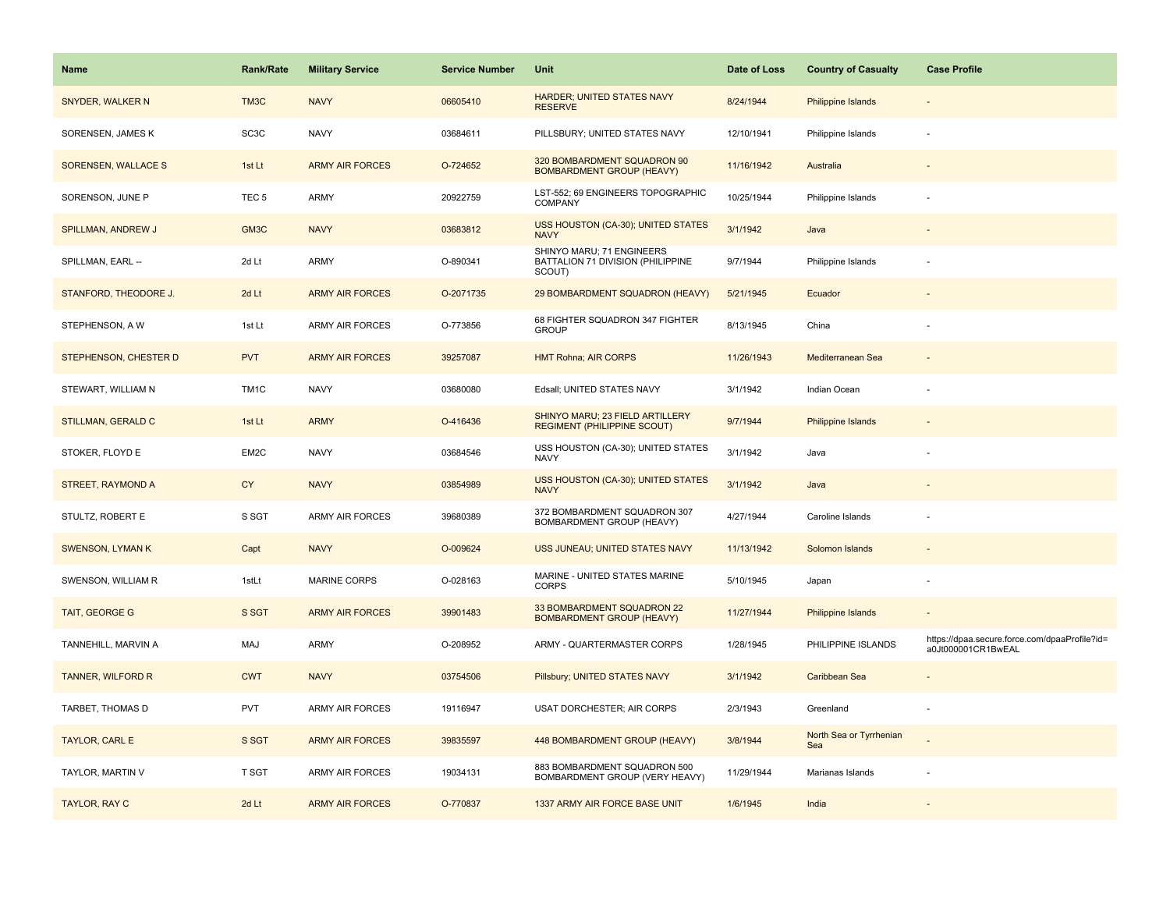| <b>Name</b>               | <b>Rank/Rate</b>  | <b>Military Service</b> | <b>Service Number</b> | Unit                                                                     | Date of Loss | <b>Country of Casualty</b>     | <b>Case Profile</b>                                                 |
|---------------------------|-------------------|-------------------------|-----------------------|--------------------------------------------------------------------------|--------------|--------------------------------|---------------------------------------------------------------------|
| SNYDER, WALKER N          | TM3C              | <b>NAVY</b>             | 06605410              | <b>HARDER; UNITED STATES NAVY</b><br><b>RESERVE</b>                      | 8/24/1944    | <b>Philippine Islands</b>      |                                                                     |
| SORENSEN, JAMES K         | SC3C              | <b>NAVY</b>             | 03684611              | PILLSBURY; UNITED STATES NAVY                                            | 12/10/1941   | Philippine Islands             |                                                                     |
| SORENSEN, WALLACE S       | 1st Lt            | <b>ARMY AIR FORCES</b>  | O-724652              | 320 BOMBARDMENT SQUADRON 90<br><b>BOMBARDMENT GROUP (HEAVY)</b>          | 11/16/1942   | Australia                      |                                                                     |
| SORENSON, JUNE P          | TEC <sub>5</sub>  | ARMY                    | 20922759              | LST-552; 69 ENGINEERS TOPOGRAPHIC<br>COMPANY                             | 10/25/1944   | Philippine Islands             |                                                                     |
| <b>SPILLMAN, ANDREW J</b> | GM3C              | <b>NAVY</b>             | 03683812              | USS HOUSTON (CA-30); UNITED STATES<br><b>NAVY</b>                        | 3/1/1942     | Java                           |                                                                     |
| SPILLMAN, EARL --         | 2d Lt             | <b>ARMY</b>             | O-890341              | SHINYO MARU; 71 ENGINEERS<br>BATTALION 71 DIVISION (PHILIPPINE<br>SCOUT) | 9/7/1944     | Philippine Islands             |                                                                     |
| STANFORD, THEODORE J.     | 2d Lt             | <b>ARMY AIR FORCES</b>  | O-2071735             | 29 BOMBARDMENT SQUADRON (HEAVY)                                          | 5/21/1945    | Ecuador                        |                                                                     |
| STEPHENSON, A W           | 1st Lt            | <b>ARMY AIR FORCES</b>  | O-773856              | 68 FIGHTER SQUADRON 347 FIGHTER<br><b>GROUP</b>                          | 8/13/1945    | China                          |                                                                     |
| STEPHENSON, CHESTER D     | <b>PVT</b>        | <b>ARMY AIR FORCES</b>  | 39257087              | <b>HMT Rohna; AIR CORPS</b>                                              | 11/26/1943   | Mediterranean Sea              |                                                                     |
| STEWART, WILLIAM N        | TM <sub>1</sub> C | <b>NAVY</b>             | 03680080              | Edsall; UNITED STATES NAVY                                               | 3/1/1942     | Indian Ocean                   |                                                                     |
| <b>STILLMAN, GERALD C</b> | 1st Lt            | <b>ARMY</b>             | O-416436              | SHINYO MARU; 23 FIELD ARTILLERY<br><b>REGIMENT (PHILIPPINE SCOUT)</b>    | 9/7/1944     | Philippine Islands             |                                                                     |
| STOKER, FLOYD E           | EM2C              | <b>NAVY</b>             | 03684546              | USS HOUSTON (CA-30); UNITED STATES<br><b>NAVY</b>                        | 3/1/1942     | Java                           |                                                                     |
| STREET, RAYMOND A         | <b>CY</b>         | <b>NAVY</b>             | 03854989              | USS HOUSTON (CA-30); UNITED STATES<br><b>NAVY</b>                        | 3/1/1942     | Java                           |                                                                     |
| STULTZ, ROBERT E          | S SGT             | ARMY AIR FORCES         | 39680389              | 372 BOMBARDMENT SQUADRON 307<br>BOMBARDMENT GROUP (HEAVY)                | 4/27/1944    | Caroline Islands               |                                                                     |
| <b>SWENSON, LYMAN K</b>   | Capt              | <b>NAVY</b>             | O-009624              | USS JUNEAU; UNITED STATES NAVY                                           | 11/13/1942   | Solomon Islands                |                                                                     |
| SWENSON, WILLIAM R        | 1stLt             | MARINE CORPS            | O-028163              | MARINE - UNITED STATES MARINE<br><b>CORPS</b>                            | 5/10/1945    | Japan                          |                                                                     |
| TAIT, GEORGE G            | S SGT             | <b>ARMY AIR FORCES</b>  | 39901483              | 33 BOMBARDMENT SQUADRON 22<br><b>BOMBARDMENT GROUP (HEAVY)</b>           | 11/27/1944   | <b>Philippine Islands</b>      |                                                                     |
| TANNEHILL, MARVIN A       | MAJ               | <b>ARMY</b>             | O-208952              | ARMY - QUARTERMASTER CORPS                                               | 1/28/1945    | PHILIPPINE ISLANDS             | https://dpaa.secure.force.com/dpaaProfile?id=<br>a0Jt000001CR1BwEAL |
| <b>TANNER, WILFORD R</b>  | <b>CWT</b>        | <b>NAVY</b>             | 03754506              | Pillsbury; UNITED STATES NAVY                                            | 3/1/1942     | Caribbean Sea                  |                                                                     |
| TARBET, THOMAS D          | <b>PVT</b>        | <b>ARMY AIR FORCES</b>  | 19116947              | USAT DORCHESTER; AIR CORPS                                               | 2/3/1943     | Greenland                      |                                                                     |
| TAYLOR, CARL E            | S SGT             | <b>ARMY AIR FORCES</b>  | 39835597              | 448 BOMBARDMENT GROUP (HEAVY)                                            | 3/8/1944     | North Sea or Tyrrhenian<br>Sea |                                                                     |
| TAYLOR, MARTIN V          | T SGT             | ARMY AIR FORCES         | 19034131              | 883 BOMBARDMENT SQUADRON 500<br>BOMBARDMENT GROUP (VERY HEAVY)           | 11/29/1944   | Marianas Islands               |                                                                     |
| TAYLOR, RAY C             | 2d Lt             | <b>ARMY AIR FORCES</b>  | O-770837              | 1337 ARMY AIR FORCE BASE UNIT                                            | 1/6/1945     | India                          |                                                                     |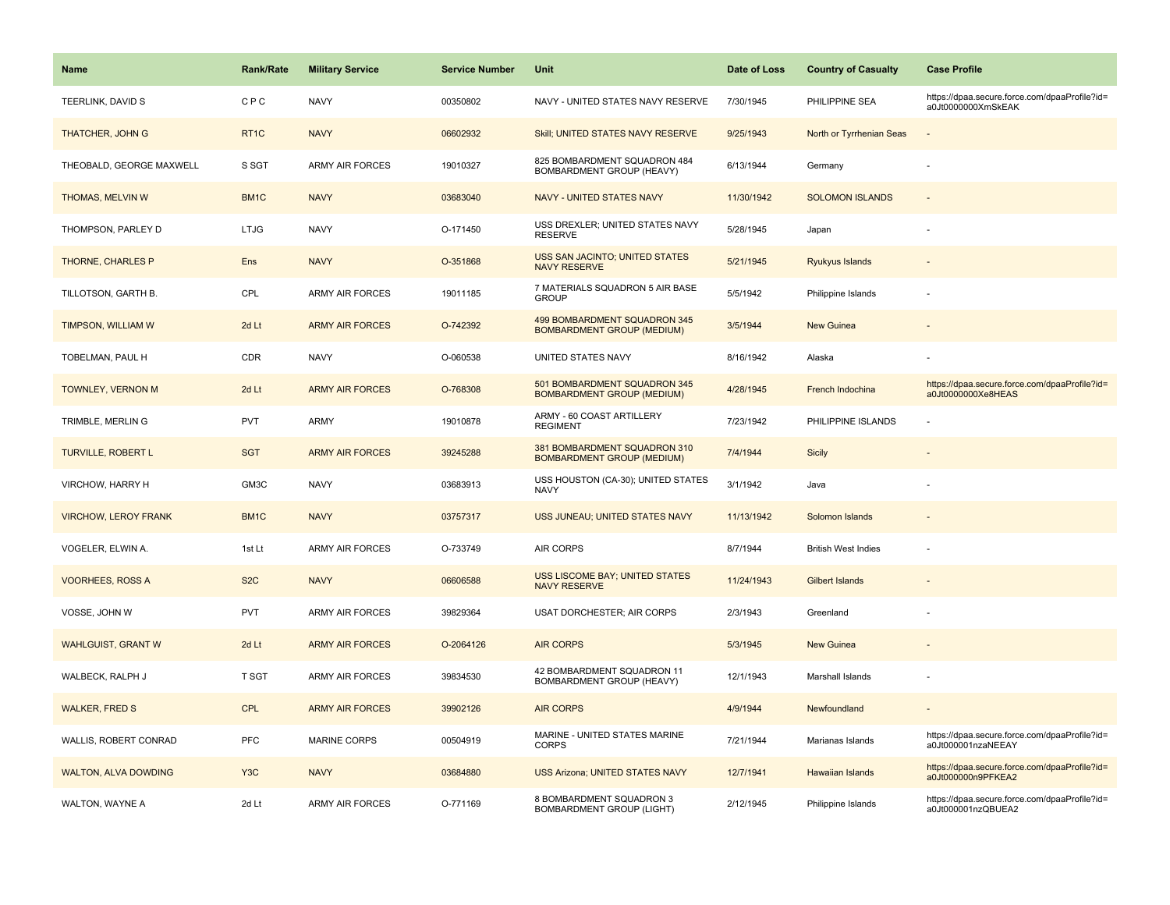| Name                        | <b>Rank/Rate</b>  | <b>Military Service</b> | <b>Service Number</b> | Unit                                                              | Date of Loss | <b>Country of Casualty</b> | <b>Case Profile</b>                                                 |
|-----------------------------|-------------------|-------------------------|-----------------------|-------------------------------------------------------------------|--------------|----------------------------|---------------------------------------------------------------------|
| TEERLINK, DAVID S           | <b>CPC</b>        | <b>NAVY</b>             | 00350802              | NAVY - UNITED STATES NAVY RESERVE                                 | 7/30/1945    | PHILIPPINE SEA             | https://dpaa.secure.force.com/dpaaProfile?id=<br>a0Jt0000000XmSkEAK |
| <b>THATCHER, JOHN G</b>     | RT <sub>1C</sub>  | <b>NAVY</b>             | 06602932              | Skill; UNITED STATES NAVY RESERVE                                 | 9/25/1943    | North or Tyrrhenian Seas   |                                                                     |
| THEOBALD, GEORGE MAXWELL    | S SGT             | ARMY AIR FORCES         | 19010327              | 825 BOMBARDMENT SQUADRON 484<br>BOMBARDMENT GROUP (HEAVY)         | 6/13/1944    | Germany                    |                                                                     |
| <b>THOMAS, MELVIN W</b>     | BM <sub>1</sub> C | <b>NAVY</b>             | 03683040              | NAVY - UNITED STATES NAVY                                         | 11/30/1942   | <b>SOLOMON ISLANDS</b>     |                                                                     |
| THOMPSON, PARLEY D          | <b>LTJG</b>       | <b>NAVY</b>             | O-171450              | USS DREXLER; UNITED STATES NAVY<br><b>RESERVE</b>                 | 5/28/1945    | Japan                      |                                                                     |
| THORNE, CHARLES P           | Ens               | <b>NAVY</b>             | O-351868              | USS SAN JACINTO; UNITED STATES<br><b>NAVY RESERVE</b>             | 5/21/1945    | Ryukyus Islands            |                                                                     |
| TILLOTSON, GARTH B.         | CPL               | <b>ARMY AIR FORCES</b>  | 19011185              | 7 MATERIALS SQUADRON 5 AIR BASE<br><b>GROUP</b>                   | 5/5/1942     | Philippine Islands         |                                                                     |
| TIMPSON, WILLIAM W          | 2d Lt             | <b>ARMY AIR FORCES</b>  | O-742392              | 499 BOMBARDMENT SQUADRON 345<br><b>BOMBARDMENT GROUP (MEDIUM)</b> | 3/5/1944     | New Guinea                 |                                                                     |
| TOBELMAN, PAUL H            | CDR               | <b>NAVY</b>             | O-060538              | UNITED STATES NAVY                                                | 8/16/1942    | Alaska                     |                                                                     |
| TOWNLEY, VERNON M           | 2d Lt             | <b>ARMY AIR FORCES</b>  | O-768308              | 501 BOMBARDMENT SQUADRON 345<br><b>BOMBARDMENT GROUP (MEDIUM)</b> | 4/28/1945    | French Indochina           | https://dpaa.secure.force.com/dpaaProfile?id=<br>a0Jt0000000Xe8HEAS |
| TRIMBLE, MERLIN G           | <b>PVT</b>        | <b>ARMY</b>             | 19010878              | ARMY - 60 COAST ARTILLERY<br><b>REGIMENT</b>                      | 7/23/1942    | PHILIPPINE ISLANDS         |                                                                     |
| <b>TURVILLE, ROBERT L</b>   | <b>SGT</b>        | <b>ARMY AIR FORCES</b>  | 39245288              | 381 BOMBARDMENT SQUADRON 310<br><b>BOMBARDMENT GROUP (MEDIUM)</b> | 7/4/1944     | <b>Sicily</b>              |                                                                     |
| VIRCHOW, HARRY H            | GM3C              | <b>NAVY</b>             | 03683913              | USS HOUSTON (CA-30); UNITED STATES<br><b>NAVY</b>                 | 3/1/1942     | Java                       |                                                                     |
| <b>VIRCHOW, LEROY FRANK</b> | BM1C              | <b>NAVY</b>             | 03757317              | USS JUNEAU; UNITED STATES NAVY                                    | 11/13/1942   | Solomon Islands            |                                                                     |
| VOGELER, ELWIN A.           | 1st Lt            | ARMY AIR FORCES         | O-733749              | AIR CORPS                                                         | 8/7/1944     | <b>British West Indies</b> |                                                                     |
| <b>VOORHEES, ROSS A</b>     | S <sub>2</sub> C  | <b>NAVY</b>             | 06606588              | <b>USS LISCOME BAY; UNITED STATES</b><br><b>NAVY RESERVE</b>      | 11/24/1943   | Gilbert Islands            |                                                                     |
| VOSSE, JOHN W               | PVT               | ARMY AIR FORCES         | 39829364              | USAT DORCHESTER; AIR CORPS                                        | 2/3/1943     | Greenland                  |                                                                     |
| <b>WAHLGUIST, GRANT W</b>   | 2d Lt             | <b>ARMY AIR FORCES</b>  | O-2064126             | <b>AIR CORPS</b>                                                  | 5/3/1945     | <b>New Guinea</b>          |                                                                     |
| WALBECK, RALPH J            | T SGT             | <b>ARMY AIR FORCES</b>  | 39834530              | 42 BOMBARDMENT SQUADRON 11<br>BOMBARDMENT GROUP (HEAVY)           | 12/1/1943    | Marshall Islands           |                                                                     |
| <b>WALKER, FRED S</b>       | <b>CPL</b>        | <b>ARMY AIR FORCES</b>  | 39902126              | <b>AIR CORPS</b>                                                  | 4/9/1944     | Newfoundland               |                                                                     |
| WALLIS, ROBERT CONRAD       | <b>PFC</b>        | <b>MARINE CORPS</b>     | 00504919              | MARINE - UNITED STATES MARINE<br><b>CORPS</b>                     | 7/21/1944    | Marianas Islands           | https://dpaa.secure.force.com/dpaaProfile?id=<br>a0Jt000001nzaNEEAY |
| <b>WALTON, ALVA DOWDING</b> | Y <sub>3</sub> C  | <b>NAVY</b>             | 03684880              | <b>USS Arizona; UNITED STATES NAVY</b>                            | 12/7/1941    | <b>Hawaiian Islands</b>    | https://dpaa.secure.force.com/dpaaProfile?id=<br>a0Jt000000n9PFKEA2 |
| WALTON, WAYNE A             | 2d Lt             | <b>ARMY AIR FORCES</b>  | O-771169              | 8 BOMBARDMENT SQUADRON 3<br><b>BOMBARDMENT GROUP (LIGHT)</b>      | 2/12/1945    | Philippine Islands         | https://dpaa.secure.force.com/dpaaProfile?id=<br>a0Jt000001nzQBUEA2 |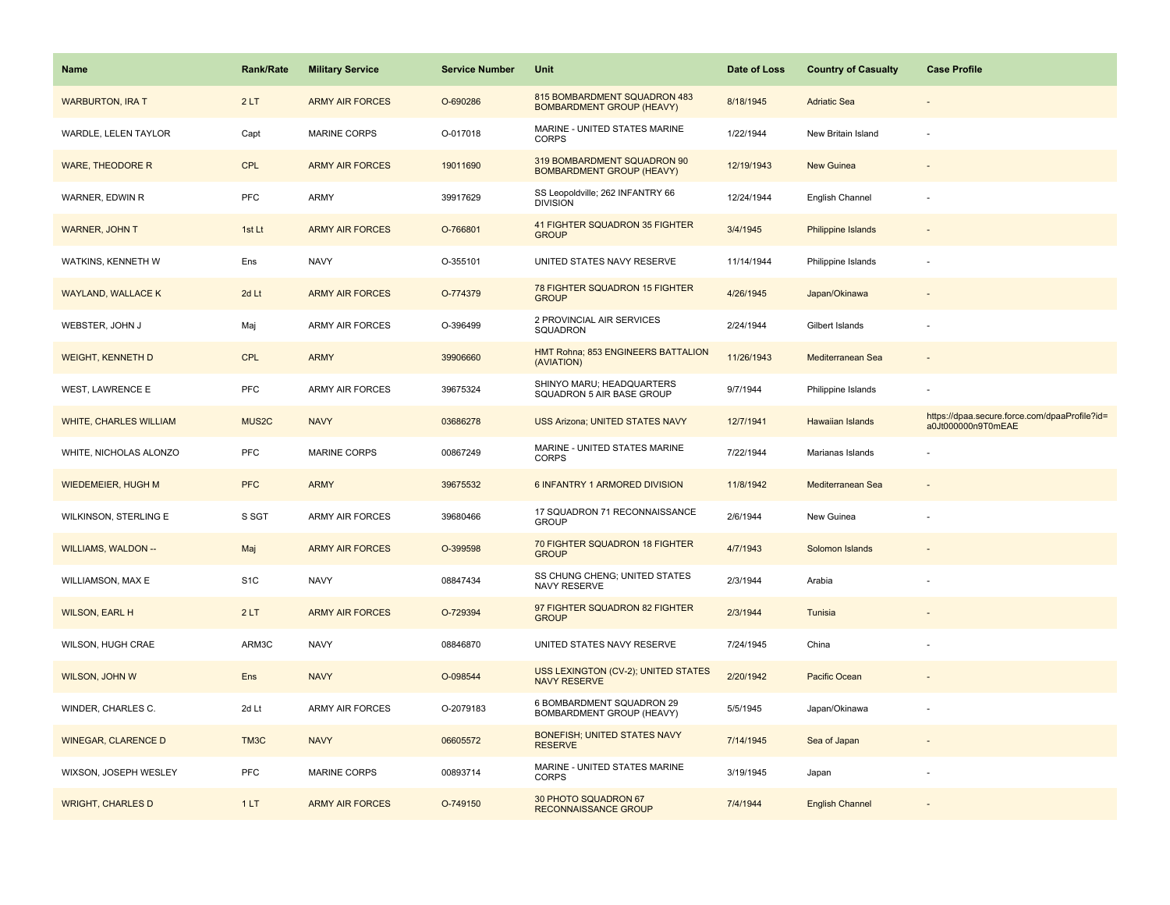| Name                          | Rank/Rate          | <b>Military Service</b> | <b>Service Number</b> | Unit                                                              | Date of Loss | <b>Country of Casualty</b> | <b>Case Profile</b>                                                 |
|-------------------------------|--------------------|-------------------------|-----------------------|-------------------------------------------------------------------|--------------|----------------------------|---------------------------------------------------------------------|
| <b>WARBURTON, IRA T</b>       | 2LT                | <b>ARMY AIR FORCES</b>  | O-690286              | 815 BOMBARDMENT SQUADRON 483<br><b>BOMBARDMENT GROUP (HEAVY)</b>  | 8/18/1945    | <b>Adriatic Sea</b>        |                                                                     |
| WARDLE, LELEN TAYLOR          | Capt               | <b>MARINE CORPS</b>     | O-017018              | MARINE - UNITED STATES MARINE<br>CORPS                            | 1/22/1944    | New Britain Island         |                                                                     |
| <b>WARE, THEODORE R</b>       | <b>CPL</b>         | <b>ARMY AIR FORCES</b>  | 19011690              | 319 BOMBARDMENT SQUADRON 90<br><b>BOMBARDMENT GROUP (HEAVY)</b>   | 12/19/1943   | <b>New Guinea</b>          |                                                                     |
| WARNER, EDWIN R               | <b>PFC</b>         | ARMY                    | 39917629              | SS Leopoldville; 262 INFANTRY 66<br><b>DIVISION</b>               | 12/24/1944   | English Channel            |                                                                     |
| <b>WARNER, JOHN T</b>         | 1st Lt             | <b>ARMY AIR FORCES</b>  | O-766801              | 41 FIGHTER SQUADRON 35 FIGHTER<br><b>GROUP</b>                    | 3/4/1945     | <b>Philippine Islands</b>  |                                                                     |
| WATKINS, KENNETH W            | Ens                | <b>NAVY</b>             | O-355101              | UNITED STATES NAVY RESERVE                                        | 11/14/1944   | Philippine Islands         |                                                                     |
| <b>WAYLAND, WALLACE K</b>     | 2d Lt              | <b>ARMY AIR FORCES</b>  | O-774379              | 78 FIGHTER SQUADRON 15 FIGHTER<br><b>GROUP</b>                    | 4/26/1945    | Japan/Okinawa              |                                                                     |
| WEBSTER, JOHN J               | Maj                | <b>ARMY AIR FORCES</b>  | O-396499              | 2 PROVINCIAL AIR SERVICES<br>SQUADRON                             | 2/24/1944    | Gilbert Islands            |                                                                     |
| <b>WEIGHT, KENNETH D</b>      | CPL                | <b>ARMY</b>             | 39906660              | HMT Rohna; 853 ENGINEERS BATTALION<br>(AVIATION)                  | 11/26/1943   | Mediterranean Sea          |                                                                     |
| <b>WEST, LAWRENCE E</b>       | PFC                | <b>ARMY AIR FORCES</b>  | 39675324              | SHINYO MARU; HEADQUARTERS<br>SQUADRON 5 AIR BASE GROUP            | 9/7/1944     | Philippine Islands         |                                                                     |
| <b>WHITE, CHARLES WILLIAM</b> | MUS <sub>2</sub> C | <b>NAVY</b>             | 03686278              | <b>USS Arizona; UNITED STATES NAVY</b>                            | 12/7/1941    | <b>Hawaiian Islands</b>    | https://dpaa.secure.force.com/dpaaProfile?id=<br>a0Jt000000n9T0mEAE |
| WHITE, NICHOLAS ALONZO        | <b>PFC</b>         | <b>MARINE CORPS</b>     | 00867249              | MARINE - UNITED STATES MARINE<br><b>CORPS</b>                     | 7/22/1944    | Marianas Islands           |                                                                     |
| WIEDEMEIER, HUGH M            | <b>PFC</b>         | <b>ARMY</b>             | 39675532              | 6 INFANTRY 1 ARMORED DIVISION                                     | 11/8/1942    | Mediterranean Sea          |                                                                     |
| WILKINSON, STERLING E         | S SGT              | ARMY AIR FORCES         | 39680466              | 17 SQUADRON 71 RECONNAISSANCE<br><b>GROUP</b>                     | 2/6/1944     | New Guinea                 |                                                                     |
| <b>WILLIAMS, WALDON --</b>    | Maj                | <b>ARMY AIR FORCES</b>  | O-399598              | 70 FIGHTER SQUADRON 18 FIGHTER<br><b>GROUP</b>                    | 4/7/1943     | Solomon Islands            |                                                                     |
| WILLIAMSON, MAX E             | S <sub>1</sub> C   | <b>NAVY</b>             | 08847434              | SS CHUNG CHENG; UNITED STATES<br>NAVY RESERVE                     | 2/3/1944     | Arabia                     |                                                                     |
| <b>WILSON, EARL H</b>         | 2LT                | <b>ARMY AIR FORCES</b>  | O-729394              | 97 FIGHTER SQUADRON 82 FIGHTER<br><b>GROUP</b>                    | 2/3/1944     | Tunisia                    |                                                                     |
| WILSON, HUGH CRAE             | ARM3C              | <b>NAVY</b>             | 08846870              | UNITED STATES NAVY RESERVE                                        | 7/24/1945    | China                      |                                                                     |
| WILSON, JOHN W                | Ens                | <b>NAVY</b>             | O-098544              | <b>USS LEXINGTON (CV-2); UNITED STATES</b><br><b>NAVY RESERVE</b> | 2/20/1942    | Pacific Ocean              |                                                                     |
| WINDER, CHARLES C.            | 2d Lt              | <b>ARMY AIR FORCES</b>  | O-2079183             | 6 BOMBARDMENT SQUADRON 29<br>BOMBARDMENT GROUP (HEAVY)            | 5/5/1945     | Japan/Okinawa              |                                                                     |
| <b>WINEGAR, CLARENCE D</b>    | TM3C               | <b>NAVY</b>             | 06605572              | <b>BONEFISH; UNITED STATES NAVY</b><br><b>RESERVE</b>             | 7/14/1945    | Sea of Japan               |                                                                     |
| WIXSON, JOSEPH WESLEY         | <b>PFC</b>         | <b>MARINE CORPS</b>     | 00893714              | MARINE - UNITED STATES MARINE<br><b>CORPS</b>                     | 3/19/1945    | Japan                      |                                                                     |
| <b>WRIGHT, CHARLES D</b>      | 1LT                | <b>ARMY AIR FORCES</b>  | O-749150              | 30 PHOTO SQUADRON 67<br><b>RECONNAISSANCE GROUP</b>               | 7/4/1944     | <b>English Channel</b>     |                                                                     |